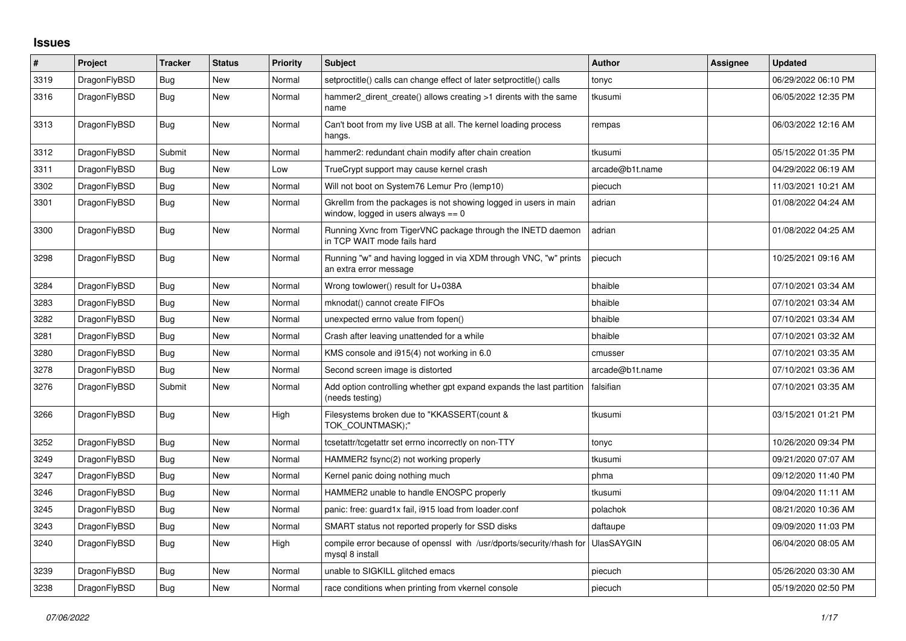## **Issues**

| $\sharp$ | Project      | <b>Tracker</b> | <b>Status</b> | <b>Priority</b> | <b>Subject</b>                                                                                            | <b>Author</b>     | Assignee | <b>Updated</b>      |
|----------|--------------|----------------|---------------|-----------------|-----------------------------------------------------------------------------------------------------------|-------------------|----------|---------------------|
| 3319     | DragonFlyBSD | Bug            | New           | Normal          | setproctitle() calls can change effect of later setproctitle() calls                                      | tonyc             |          | 06/29/2022 06:10 PM |
| 3316     | DragonFlyBSD | <b>Bug</b>     | New           | Normal          | hammer2 dirent create() allows creating >1 dirents with the same<br>name                                  | tkusumi           |          | 06/05/2022 12:35 PM |
| 3313     | DragonFlyBSD | <b>Bug</b>     | New           | Normal          | Can't boot from my live USB at all. The kernel loading process<br>hangs.                                  | rempas            |          | 06/03/2022 12:16 AM |
| 3312     | DragonFlyBSD | Submit         | New           | Normal          | hammer2: redundant chain modify after chain creation                                                      | tkusumi           |          | 05/15/2022 01:35 PM |
| 3311     | DragonFlyBSD | Bug            | New           | Low             | TrueCrypt support may cause kernel crash                                                                  | arcade@b1t.name   |          | 04/29/2022 06:19 AM |
| 3302     | DragonFlyBSD | Bug            | New           | Normal          | Will not boot on System76 Lemur Pro (lemp10)                                                              | piecuch           |          | 11/03/2021 10:21 AM |
| 3301     | DragonFlyBSD | Bug            | New           | Normal          | Gkrellm from the packages is not showing logged in users in main<br>window, logged in users always $== 0$ | adrian            |          | 01/08/2022 04:24 AM |
| 3300     | DragonFlyBSD | <b>Bug</b>     | New           | Normal          | Running Xvnc from TigerVNC package through the INETD daemon<br>in TCP WAIT mode fails hard                | adrian            |          | 01/08/2022 04:25 AM |
| 3298     | DragonFlyBSD | <b>Bug</b>     | <b>New</b>    | Normal          | Running "w" and having logged in via XDM through VNC, "w" prints<br>an extra error message                | piecuch           |          | 10/25/2021 09:16 AM |
| 3284     | DragonFlyBSD | Bug            | New           | Normal          | Wrong towlower() result for U+038A                                                                        | bhaible           |          | 07/10/2021 03:34 AM |
| 3283     | DragonFlyBSD | Bug            | New           | Normal          | mknodat() cannot create FIFOs                                                                             | bhaible           |          | 07/10/2021 03:34 AM |
| 3282     | DragonFlyBSD | <b>Bug</b>     | <b>New</b>    | Normal          | unexpected errno value from fopen()                                                                       | bhaible           |          | 07/10/2021 03:34 AM |
| 3281     | DragonFlyBSD | Bug            | New           | Normal          | Crash after leaving unattended for a while                                                                | bhaible           |          | 07/10/2021 03:32 AM |
| 3280     | DragonFlyBSD | Bug            | New           | Normal          | KMS console and i915(4) not working in 6.0                                                                | cmusser           |          | 07/10/2021 03:35 AM |
| 3278     | DragonFlyBSD | Bug            | New           | Normal          | Second screen image is distorted                                                                          | arcade@b1t.name   |          | 07/10/2021 03:36 AM |
| 3276     | DragonFlyBSD | Submit         | New           | Normal          | Add option controlling whether gpt expand expands the last partition<br>(needs testing)                   | falsifian         |          | 07/10/2021 03:35 AM |
| 3266     | DragonFlyBSD | Bug            | <b>New</b>    | High            | Filesystems broken due to "KKASSERT(count &<br>TOK COUNTMASK);"                                           | tkusumi           |          | 03/15/2021 01:21 PM |
| 3252     | DragonFlyBSD | <b>Bug</b>     | New           | Normal          | tcsetattr/tcgetattr set errno incorrectly on non-TTY                                                      | tonyc             |          | 10/26/2020 09:34 PM |
| 3249     | DragonFlyBSD | Bug            | New           | Normal          | HAMMER2 fsync(2) not working properly                                                                     | tkusumi           |          | 09/21/2020 07:07 AM |
| 3247     | DragonFlyBSD | <b>Bug</b>     | New           | Normal          | Kernel panic doing nothing much                                                                           | phma              |          | 09/12/2020 11:40 PM |
| 3246     | DragonFlyBSD | Bug            | New           | Normal          | HAMMER2 unable to handle ENOSPC properly                                                                  | tkusumi           |          | 09/04/2020 11:11 AM |
| 3245     | DragonFlyBSD | Bug            | New           | Normal          | panic: free: guard1x fail, i915 load from loader.conf                                                     | polachok          |          | 08/21/2020 10:36 AM |
| 3243     | DragonFlyBSD | <b>Bug</b>     | New           | Normal          | SMART status not reported properly for SSD disks                                                          | daftaupe          |          | 09/09/2020 11:03 PM |
| 3240     | DragonFlyBSD | Bug            | New           | High            | compile error because of openssl with /usr/dports/security/rhash for<br>mysgl 8 install                   | <b>UlasSAYGIN</b> |          | 06/04/2020 08:05 AM |
| 3239     | DragonFlyBSD | <b>Bug</b>     | New           | Normal          | unable to SIGKILL glitched emacs                                                                          | piecuch           |          | 05/26/2020 03:30 AM |
| 3238     | DragonFlyBSD | Bug            | New           | Normal          | race conditions when printing from vkernel console                                                        | piecuch           |          | 05/19/2020 02:50 PM |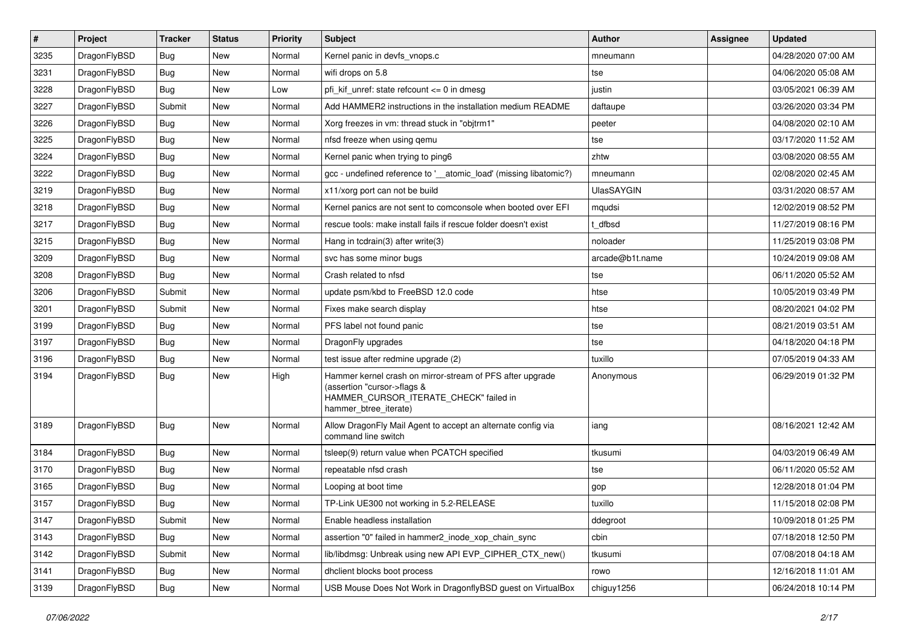| $\sharp$ | Project      | <b>Tracker</b> | <b>Status</b> | <b>Priority</b> | Subject                                                                                                                                                     | <b>Author</b>     | <b>Assignee</b> | <b>Updated</b>      |
|----------|--------------|----------------|---------------|-----------------|-------------------------------------------------------------------------------------------------------------------------------------------------------------|-------------------|-----------------|---------------------|
| 3235     | DragonFlyBSD | Bug            | New           | Normal          | Kernel panic in devfs vnops.c                                                                                                                               | mneumann          |                 | 04/28/2020 07:00 AM |
| 3231     | DragonFlyBSD | Bug            | <b>New</b>    | Normal          | wifi drops on 5.8                                                                                                                                           | tse               |                 | 04/06/2020 05:08 AM |
| 3228     | DragonFlyBSD | <b>Bug</b>     | New           | Low             | pfi kif unref: state refcount $\leq$ 0 in dmesg                                                                                                             | justin            |                 | 03/05/2021 06:39 AM |
| 3227     | DragonFlyBSD | Submit         | New           | Normal          | Add HAMMER2 instructions in the installation medium README                                                                                                  | daftaupe          |                 | 03/26/2020 03:34 PM |
| 3226     | DragonFlyBSD | Bug            | <b>New</b>    | Normal          | Xorg freezes in vm: thread stuck in "objtrm1"                                                                                                               | peeter            |                 | 04/08/2020 02:10 AM |
| 3225     | DragonFlyBSD | <b>Bug</b>     | New           | Normal          | nfsd freeze when using gemu                                                                                                                                 | tse               |                 | 03/17/2020 11:52 AM |
| 3224     | DragonFlyBSD | Bug            | New           | Normal          | Kernel panic when trying to ping6                                                                                                                           | zhtw              |                 | 03/08/2020 08:55 AM |
| 3222     | DragonFlyBSD | <b>Bug</b>     | <b>New</b>    | Normal          | gcc - undefined reference to ' atomic load' (missing libatomic?)                                                                                            | mneumann          |                 | 02/08/2020 02:45 AM |
| 3219     | DragonFlyBSD | Bug            | New           | Normal          | x11/xorg port can not be build                                                                                                                              | <b>UlasSAYGIN</b> |                 | 03/31/2020 08:57 AM |
| 3218     | DragonFlyBSD | Bug            | <b>New</b>    | Normal          | Kernel panics are not sent to comconsole when booted over EFI                                                                                               | mqudsi            |                 | 12/02/2019 08:52 PM |
| 3217     | DragonFlyBSD | Bug            | New           | Normal          | rescue tools: make install fails if rescue folder doesn't exist                                                                                             | t dfbsd           |                 | 11/27/2019 08:16 PM |
| 3215     | DragonFlyBSD | Bug            | <b>New</b>    | Normal          | Hang in tcdrain(3) after write(3)                                                                                                                           | noloader          |                 | 11/25/2019 03:08 PM |
| 3209     | DragonFlyBSD | Bug            | New           | Normal          | svc has some minor bugs                                                                                                                                     | arcade@b1t.name   |                 | 10/24/2019 09:08 AM |
| 3208     | DragonFlyBSD | Bug            | New           | Normal          | Crash related to nfsd                                                                                                                                       | tse               |                 | 06/11/2020 05:52 AM |
| 3206     | DragonFlyBSD | Submit         | <b>New</b>    | Normal          | update psm/kbd to FreeBSD 12.0 code                                                                                                                         | htse              |                 | 10/05/2019 03:49 PM |
| 3201     | DragonFlyBSD | Submit         | New           | Normal          | Fixes make search display                                                                                                                                   | htse              |                 | 08/20/2021 04:02 PM |
| 3199     | DragonFlyBSD | Bug            | New           | Normal          | PFS label not found panic                                                                                                                                   | tse               |                 | 08/21/2019 03:51 AM |
| 3197     | DragonFlyBSD | Bug            | <b>New</b>    | Normal          | DragonFly upgrades                                                                                                                                          | tse               |                 | 04/18/2020 04:18 PM |
| 3196     | DragonFlyBSD | Bug            | New           | Normal          | test issue after redmine upgrade (2)                                                                                                                        | tuxillo           |                 | 07/05/2019 04:33 AM |
| 3194     | DragonFlyBSD | Bug            | New           | High            | Hammer kernel crash on mirror-stream of PFS after upgrade<br>(assertion "cursor->flags &<br>HAMMER_CURSOR_ITERATE_CHECK" failed in<br>hammer_btree_iterate) | Anonymous         |                 | 06/29/2019 01:32 PM |
| 3189     | DragonFlyBSD | <b>Bug</b>     | <b>New</b>    | Normal          | Allow DragonFly Mail Agent to accept an alternate config via<br>command line switch                                                                         | iang              |                 | 08/16/2021 12:42 AM |
| 3184     | DragonFlyBSD | Bug            | New           | Normal          | tsleep(9) return value when PCATCH specified                                                                                                                | tkusumi           |                 | 04/03/2019 06:49 AM |
| 3170     | DragonFlyBSD | Bug            | New           | Normal          | repeatable nfsd crash                                                                                                                                       | tse               |                 | 06/11/2020 05:52 AM |
| 3165     | DragonFlyBSD | Bug            | <b>New</b>    | Normal          | Looping at boot time                                                                                                                                        | gop               |                 | 12/28/2018 01:04 PM |
| 3157     | DragonFlyBSD | Bug            | New           | Normal          | TP-Link UE300 not working in 5.2-RELEASE                                                                                                                    | tuxillo           |                 | 11/15/2018 02:08 PM |
| 3147     | DragonFlyBSD | Submit         | New           | Normal          | Enable headless installation                                                                                                                                | ddegroot          |                 | 10/09/2018 01:25 PM |
| 3143     | DragonFlyBSD | <b>Bug</b>     | New           | Normal          | assertion "0" failed in hammer2_inode_xop_chain_sync                                                                                                        | cbin              |                 | 07/18/2018 12:50 PM |
| 3142     | DragonFlyBSD | Submit         | New           | Normal          | lib/libdmsg: Unbreak using new API EVP_CIPHER_CTX_new()                                                                                                     | tkusumi           |                 | 07/08/2018 04:18 AM |
| 3141     | DragonFlyBSD | <b>Bug</b>     | New           | Normal          | dhclient blocks boot process                                                                                                                                | rowo              |                 | 12/16/2018 11:01 AM |
| 3139     | DragonFlyBSD | <b>Bug</b>     | New           | Normal          | USB Mouse Does Not Work in DragonflyBSD guest on VirtualBox                                                                                                 | chiguy1256        |                 | 06/24/2018 10:14 PM |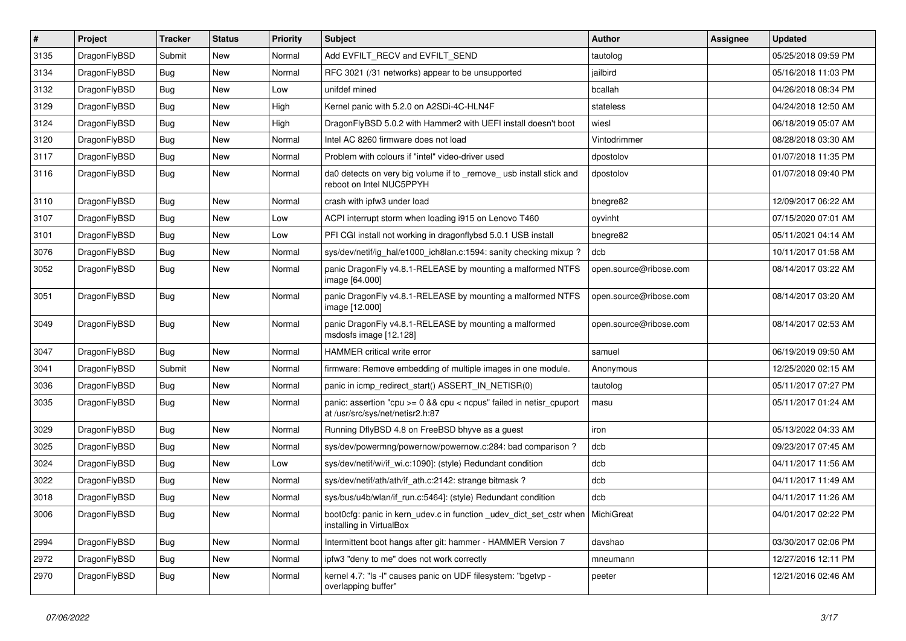| $\sharp$ | Project      | <b>Tracker</b> | <b>Status</b> | <b>Priority</b> | Subject                                                                                                      | <b>Author</b>          | Assignee | <b>Updated</b>      |
|----------|--------------|----------------|---------------|-----------------|--------------------------------------------------------------------------------------------------------------|------------------------|----------|---------------------|
| 3135     | DragonFlyBSD | Submit         | <b>New</b>    | Normal          | Add EVFILT_RECV and EVFILT_SEND                                                                              | tautolog               |          | 05/25/2018 09:59 PM |
| 3134     | DragonFlyBSD | Bug            | New           | Normal          | RFC 3021 (/31 networks) appear to be unsupported                                                             | jailbird               |          | 05/16/2018 11:03 PM |
| 3132     | DragonFlyBSD | <b>Bug</b>     | New           | Low             | unifdef mined                                                                                                | bcallah                |          | 04/26/2018 08:34 PM |
| 3129     | DragonFlyBSD | <b>Bug</b>     | New           | High            | Kernel panic with 5.2.0 on A2SDi-4C-HLN4F                                                                    | stateless              |          | 04/24/2018 12:50 AM |
| 3124     | DragonFlyBSD | <b>Bug</b>     | New           | High            | DragonFlyBSD 5.0.2 with Hammer2 with UEFI install doesn't boot                                               | wiesl                  |          | 06/18/2019 05:07 AM |
| 3120     | DragonFlyBSD | <b>Bug</b>     | <b>New</b>    | Normal          | Intel AC 8260 firmware does not load                                                                         | Vintodrimmer           |          | 08/28/2018 03:30 AM |
| 3117     | DragonFlyBSD | Bug            | New           | Normal          | Problem with colours if "intel" video-driver used                                                            | dpostolov              |          | 01/07/2018 11:35 PM |
| 3116     | DragonFlyBSD | <b>Bug</b>     | New           | Normal          | da0 detects on very big volume if to _remove_ usb install stick and<br>reboot on Intel NUC5PPYH              | dpostolov              |          | 01/07/2018 09:40 PM |
| 3110     | DragonFlyBSD | Bug            | <b>New</b>    | Normal          | crash with ipfw3 under load                                                                                  | bnegre82               |          | 12/09/2017 06:22 AM |
| 3107     | DragonFlyBSD | <b>Bug</b>     | New           | Low             | ACPI interrupt storm when loading i915 on Lenovo T460                                                        | oyvinht                |          | 07/15/2020 07:01 AM |
| 3101     | DragonFlyBSD | <b>Bug</b>     | New           | Low             | PFI CGI install not working in dragonflybsd 5.0.1 USB install                                                | bnegre82               |          | 05/11/2021 04:14 AM |
| 3076     | DragonFlyBSD | <b>Bug</b>     | <b>New</b>    | Normal          | sys/dev/netif/ig_hal/e1000_ich8lan.c:1594: sanity checking mixup?                                            | dcb                    |          | 10/11/2017 01:58 AM |
| 3052     | DragonFlyBSD | <b>Bug</b>     | New           | Normal          | panic DragonFly v4.8.1-RELEASE by mounting a malformed NTFS<br>image [64.000]                                | open.source@ribose.com |          | 08/14/2017 03:22 AM |
| 3051     | DragonFlyBSD | Bug            | <b>New</b>    | Normal          | panic DragonFly v4.8.1-RELEASE by mounting a malformed NTFS<br>image [12.000]                                | open.source@ribose.com |          | 08/14/2017 03:20 AM |
| 3049     | DragonFlyBSD | Bug            | New           | Normal          | panic DragonFly v4.8.1-RELEASE by mounting a malformed<br>msdosfs image [12.128]                             | open.source@ribose.com |          | 08/14/2017 02:53 AM |
| 3047     | DragonFlyBSD | <b>Bug</b>     | New           | Normal          | <b>HAMMER</b> critical write error                                                                           | samuel                 |          | 06/19/2019 09:50 AM |
| 3041     | DragonFlyBSD | Submit         | <b>New</b>    | Normal          | firmware: Remove embedding of multiple images in one module.                                                 | Anonymous              |          | 12/25/2020 02:15 AM |
| 3036     | DragonFlyBSD | <b>Bug</b>     | New           | Normal          | panic in icmp_redirect_start() ASSERT_IN_NETISR(0)                                                           | tautolog               |          | 05/11/2017 07:27 PM |
| 3035     | DragonFlyBSD | Bug            | New           | Normal          | panic: assertion "cpu >= 0 && cpu < ncpus" failed in netisr_cpuport<br>at /usr/src/sys/net/netisr2.h:87      | masu                   |          | 05/11/2017 01:24 AM |
| 3029     | DragonFlyBSD | Bug            | New           | Normal          | Running DflyBSD 4.8 on FreeBSD bhyve as a guest                                                              | iron                   |          | 05/13/2022 04:33 AM |
| 3025     | DragonFlyBSD | Bug            | <b>New</b>    | Normal          | sys/dev/powermng/powernow/powernow.c:284: bad comparison ?                                                   | dcb                    |          | 09/23/2017 07:45 AM |
| 3024     | DragonFlyBSD | Bug            | New           | Low             | sys/dev/netif/wi/if_wi.c:1090]: (style) Redundant condition                                                  | dcb                    |          | 04/11/2017 11:56 AM |
| 3022     | DragonFlyBSD | Bug            | New           | Normal          | sys/dev/netif/ath/ath/if_ath.c:2142: strange bitmask?                                                        | dcb                    |          | 04/11/2017 11:49 AM |
| 3018     | DragonFlyBSD | <b>Bug</b>     | <b>New</b>    | Normal          | sys/bus/u4b/wlan/if_run.c:5464]: (style) Redundant condition                                                 | dcb                    |          | 04/11/2017 11:26 AM |
| 3006     | DragonFlyBSD | <b>Bug</b>     | New           | Normal          | boot0cfg: panic in kern_udev.c in function _udev_dict_set_cstr when   MichiGreat<br>installing in VirtualBox |                        |          | 04/01/2017 02:22 PM |
| 2994     | DragonFlyBSD | <b>Bug</b>     | New           | Normal          | Intermittent boot hangs after git: hammer - HAMMER Version 7                                                 | davshao                |          | 03/30/2017 02:06 PM |
| 2972     | DragonFlyBSD | <b>Bug</b>     | New           | Normal          | ipfw3 "deny to me" does not work correctly                                                                   | mneumann               |          | 12/27/2016 12:11 PM |
| 2970     | DragonFlyBSD | Bug            | New           | Normal          | kernel 4.7: "Is -I" causes panic on UDF filesystem: "bgetvp -<br>overlapping buffer"                         | peeter                 |          | 12/21/2016 02:46 AM |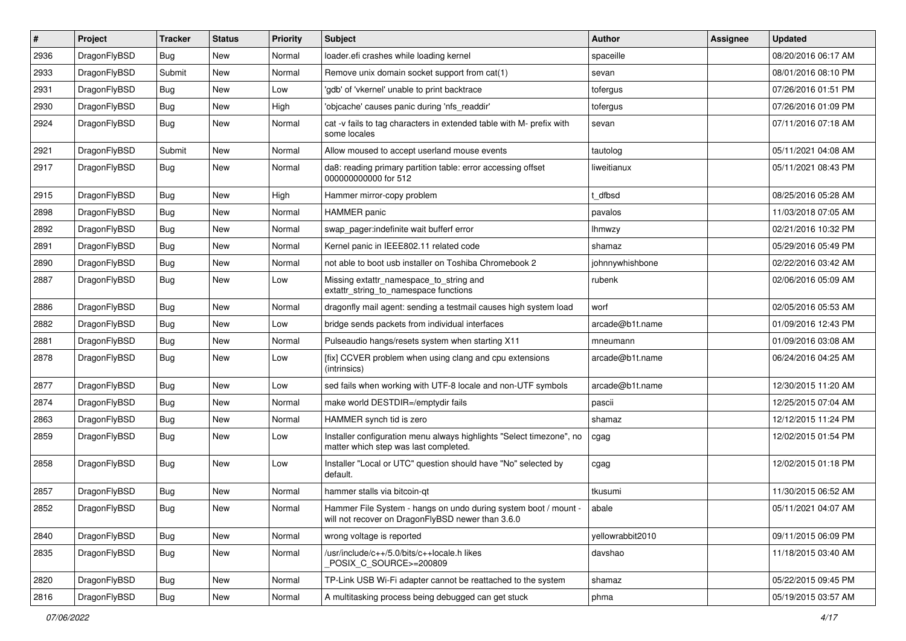| #    | Project      | <b>Tracker</b> | <b>Status</b> | <b>Priority</b> | <b>Subject</b>                                                                                                       | <b>Author</b>    | Assignee | <b>Updated</b>      |
|------|--------------|----------------|---------------|-----------------|----------------------------------------------------------------------------------------------------------------------|------------------|----------|---------------------|
| 2936 | DragonFlyBSD | <b>Bug</b>     | <b>New</b>    | Normal          | loader.efi crashes while loading kernel                                                                              | spaceille        |          | 08/20/2016 06:17 AM |
| 2933 | DragonFlyBSD | Submit         | <b>New</b>    | Normal          | Remove unix domain socket support from cat(1)                                                                        | sevan            |          | 08/01/2016 08:10 PM |
| 2931 | DragonFlyBSD | <b>Bug</b>     | <b>New</b>    | Low             | 'gdb' of 'vkernel' unable to print backtrace                                                                         | tofergus         |          | 07/26/2016 01:51 PM |
| 2930 | DragonFlyBSD | Bug            | <b>New</b>    | High            | 'objcache' causes panic during 'nfs_readdir'                                                                         | tofergus         |          | 07/26/2016 01:09 PM |
| 2924 | DragonFlyBSD | Bug            | <b>New</b>    | Normal          | cat -v fails to tag characters in extended table with M- prefix with<br>some locales                                 | sevan            |          | 07/11/2016 07:18 AM |
| 2921 | DragonFlyBSD | Submit         | <b>New</b>    | Normal          | Allow moused to accept userland mouse events                                                                         | tautolog         |          | 05/11/2021 04:08 AM |
| 2917 | DragonFlyBSD | Bug            | New           | Normal          | da8: reading primary partition table: error accessing offset<br>000000000000 for 512                                 | liweitianux      |          | 05/11/2021 08:43 PM |
| 2915 | DragonFlyBSD | Bug            | <b>New</b>    | High            | Hammer mirror-copy problem                                                                                           | dfbsd            |          | 08/25/2016 05:28 AM |
| 2898 | DragonFlyBSD | <b>Bug</b>     | <b>New</b>    | Normal          | <b>HAMMER</b> panic                                                                                                  | pavalos          |          | 11/03/2018 07:05 AM |
| 2892 | DragonFlyBSD | Bug            | <b>New</b>    | Normal          | swap pager:indefinite wait bufferf error                                                                             | lhmwzy           |          | 02/21/2016 10:32 PM |
| 2891 | DragonFlyBSD | <b>Bug</b>     | <b>New</b>    | Normal          | Kernel panic in IEEE802.11 related code                                                                              | shamaz           |          | 05/29/2016 05:49 PM |
| 2890 | DragonFlyBSD | <b>Bug</b>     | <b>New</b>    | Normal          | not able to boot usb installer on Toshiba Chromebook 2                                                               | johnnywhishbone  |          | 02/22/2016 03:42 AM |
| 2887 | DragonFlyBSD | Bug            | <b>New</b>    | Low             | Missing extattr_namespace_to_string and<br>extattr string to namespace functions                                     | rubenk           |          | 02/06/2016 05:09 AM |
| 2886 | DragonFlyBSD | <b>Bug</b>     | <b>New</b>    | Normal          | dragonfly mail agent: sending a testmail causes high system load                                                     | worf             |          | 02/05/2016 05:53 AM |
| 2882 | DragonFlyBSD | Bug            | <b>New</b>    | Low             | bridge sends packets from individual interfaces                                                                      | arcade@b1t.name  |          | 01/09/2016 12:43 PM |
| 2881 | DragonFlyBSD | <b>Bug</b>     | <b>New</b>    | Normal          | Pulseaudio hangs/resets system when starting X11                                                                     | mneumann         |          | 01/09/2016 03:08 AM |
| 2878 | DragonFlyBSD | Bug            | <b>New</b>    | Low             | [fix] CCVER problem when using clang and cpu extensions<br>(intrinsics)                                              | arcade@b1t.name  |          | 06/24/2016 04:25 AM |
| 2877 | DragonFlyBSD | <b>Bug</b>     | <b>New</b>    | Low             | sed fails when working with UTF-8 locale and non-UTF symbols                                                         | arcade@b1t.name  |          | 12/30/2015 11:20 AM |
| 2874 | DragonFlyBSD | Bug            | <b>New</b>    | Normal          | make world DESTDIR=/emptydir fails                                                                                   | pascii           |          | 12/25/2015 07:04 AM |
| 2863 | DragonFlyBSD | <b>Bug</b>     | <b>New</b>    | Normal          | HAMMER synch tid is zero                                                                                             | shamaz           |          | 12/12/2015 11:24 PM |
| 2859 | DragonFlyBSD | Bug            | <b>New</b>    | Low             | Installer configuration menu always highlights "Select timezone", no<br>matter which step was last completed.        | cgag             |          | 12/02/2015 01:54 PM |
| 2858 | DragonFlyBSD | <b>Bug</b>     | <b>New</b>    | Low             | Installer "Local or UTC" question should have "No" selected by<br>default.                                           | cgag             |          | 12/02/2015 01:18 PM |
| 2857 | DragonFlyBSD | <b>Bug</b>     | <b>New</b>    | Normal          | hammer stalls via bitcoin-qt                                                                                         | tkusumi          |          | 11/30/2015 06:52 AM |
| 2852 | DragonFlyBSD | Bug            | New           | Normal          | Hammer File System - hangs on undo during system boot / mount -<br>will not recover on DragonFlyBSD newer than 3.6.0 | abale            |          | 05/11/2021 04:07 AM |
| 2840 | DragonFlyBSD | Bug            | New           | Normal          | wrong voltage is reported                                                                                            | yellowrabbit2010 |          | 09/11/2015 06:09 PM |
| 2835 | DragonFlyBSD | Bug            | New           | Normal          | /usr/include/c++/5.0/bits/c++locale.h likes<br>POSIX_C_SOURCE>=200809                                                | davshao          |          | 11/18/2015 03:40 AM |
| 2820 | DragonFlyBSD | <b>Bug</b>     | New           | Normal          | TP-Link USB Wi-Fi adapter cannot be reattached to the system                                                         | shamaz           |          | 05/22/2015 09:45 PM |
| 2816 | DragonFlyBSD | <b>Bug</b>     | New           | Normal          | A multitasking process being debugged can get stuck                                                                  | phma             |          | 05/19/2015 03:57 AM |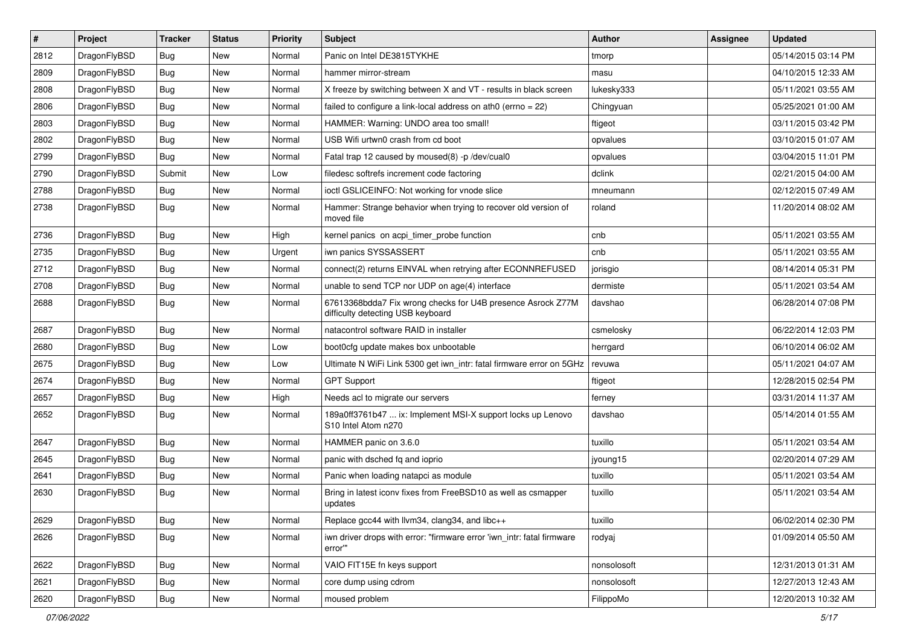| $\pmb{\#}$ | Project      | <b>Tracker</b> | <b>Status</b> | <b>Priority</b> | Subject                                                                                          | <b>Author</b> | Assignee | <b>Updated</b>      |
|------------|--------------|----------------|---------------|-----------------|--------------------------------------------------------------------------------------------------|---------------|----------|---------------------|
| 2812       | DragonFlyBSD | Bug            | New           | Normal          | Panic on Intel DE3815TYKHE                                                                       | tmorp         |          | 05/14/2015 03:14 PM |
| 2809       | DragonFlyBSD | Bug            | <b>New</b>    | Normal          | hammer mirror-stream                                                                             | masu          |          | 04/10/2015 12:33 AM |
| 2808       | DragonFlyBSD | Bug            | New           | Normal          | X freeze by switching between X and VT - results in black screen                                 | lukesky333    |          | 05/11/2021 03:55 AM |
| 2806       | DragonFlyBSD | Bug            | <b>New</b>    | Normal          | failed to configure a link-local address on ath0 (errno = 22)                                    | Chingyuan     |          | 05/25/2021 01:00 AM |
| 2803       | DragonFlyBSD | Bug            | <b>New</b>    | Normal          | HAMMER: Warning: UNDO area too small!                                                            | ftigeot       |          | 03/11/2015 03:42 PM |
| 2802       | DragonFlyBSD | <b>Bug</b>     | New           | Normal          | USB Wifi urtwn0 crash from cd boot                                                               | opvalues      |          | 03/10/2015 01:07 AM |
| 2799       | DragonFlyBSD | Bug            | <b>New</b>    | Normal          | Fatal trap 12 caused by moused(8) -p /dev/cual0                                                  | opvalues      |          | 03/04/2015 11:01 PM |
| 2790       | DragonFlyBSD | Submit         | New           | Low             | filedesc softrefs increment code factoring                                                       | dclink        |          | 02/21/2015 04:00 AM |
| 2788       | DragonFlyBSD | Bug            | <b>New</b>    | Normal          | ioctl GSLICEINFO: Not working for vnode slice                                                    | mneumann      |          | 02/12/2015 07:49 AM |
| 2738       | DragonFlyBSD | Bug            | New           | Normal          | Hammer: Strange behavior when trying to recover old version of<br>moved file                     | roland        |          | 11/20/2014 08:02 AM |
| 2736       | DragonFlyBSD | Bug            | <b>New</b>    | High            | kernel panics on acpi_timer_probe function                                                       | cnb           |          | 05/11/2021 03:55 AM |
| 2735       | DragonFlyBSD | Bug            | <b>New</b>    | Urgent          | iwn panics SYSSASSERT                                                                            | cnb           |          | 05/11/2021 03:55 AM |
| 2712       | DragonFlyBSD | Bug            | New           | Normal          | connect(2) returns EINVAL when retrying after ECONNREFUSED                                       | jorisgio      |          | 08/14/2014 05:31 PM |
| 2708       | DragonFlyBSD | Bug            | <b>New</b>    | Normal          | unable to send TCP nor UDP on age(4) interface                                                   | dermiste      |          | 05/11/2021 03:54 AM |
| 2688       | DragonFlyBSD | Bug            | New           | Normal          | 67613368bdda7 Fix wrong checks for U4B presence Asrock Z77M<br>difficulty detecting USB keyboard | davshao       |          | 06/28/2014 07:08 PM |
| 2687       | DragonFlyBSD | Bug            | <b>New</b>    | Normal          | natacontrol software RAID in installer                                                           | csmelosky     |          | 06/22/2014 12:03 PM |
| 2680       | DragonFlyBSD | <b>Bug</b>     | New           | Low             | boot0cfg update makes box unbootable                                                             | herrgard      |          | 06/10/2014 06:02 AM |
| 2675       | DragonFlyBSD | Bug            | <b>New</b>    | Low             | Ultimate N WiFi Link 5300 get iwn_intr: fatal firmware error on 5GHz                             | revuwa        |          | 05/11/2021 04:07 AM |
| 2674       | DragonFlyBSD | Bug            | <b>New</b>    | Normal          | <b>GPT Support</b>                                                                               | ftigeot       |          | 12/28/2015 02:54 PM |
| 2657       | DragonFlyBSD | Bug            | New           | High            | Needs acl to migrate our servers                                                                 | ferney        |          | 03/31/2014 11:37 AM |
| 2652       | DragonFlyBSD | Bug            | New           | Normal          | 189a0ff3761b47  ix: Implement MSI-X support locks up Lenovo<br>S10 Intel Atom n270               | davshao       |          | 05/14/2014 01:55 AM |
| 2647       | DragonFlyBSD | Bug            | <b>New</b>    | Normal          | HAMMER panic on 3.6.0                                                                            | tuxillo       |          | 05/11/2021 03:54 AM |
| 2645       | DragonFlyBSD | Bug            | <b>New</b>    | Normal          | panic with dsched fq and ioprio                                                                  | jyoung15      |          | 02/20/2014 07:29 AM |
| 2641       | DragonFlyBSD | Bug            | New           | Normal          | Panic when loading natapci as module                                                             | tuxillo       |          | 05/11/2021 03:54 AM |
| 2630       | DragonFlyBSD | Bug            | New           | Normal          | Bring in latest iconv fixes from FreeBSD10 as well as csmapper<br>updates                        | tuxillo       |          | 05/11/2021 03:54 AM |
| 2629       | DragonFlyBSD | <b>Bug</b>     | New           | Normal          | Replace gcc44 with llvm34, clang34, and libc++                                                   | tuxillo       |          | 06/02/2014 02:30 PM |
| 2626       | DragonFlyBSD | Bug            | New           | Normal          | iwn driver drops with error: "firmware error 'iwn_intr: fatal firmware<br>error"                 | rodyaj        |          | 01/09/2014 05:50 AM |
| 2622       | DragonFlyBSD | Bug            | New           | Normal          | VAIO FIT15E fn keys support                                                                      | nonsolosoft   |          | 12/31/2013 01:31 AM |
| 2621       | DragonFlyBSD | Bug            | New           | Normal          | core dump using cdrom                                                                            | nonsolosoft   |          | 12/27/2013 12:43 AM |
| 2620       | DragonFlyBSD | Bug            | New           | Normal          | moused problem                                                                                   | FilippoMo     |          | 12/20/2013 10:32 AM |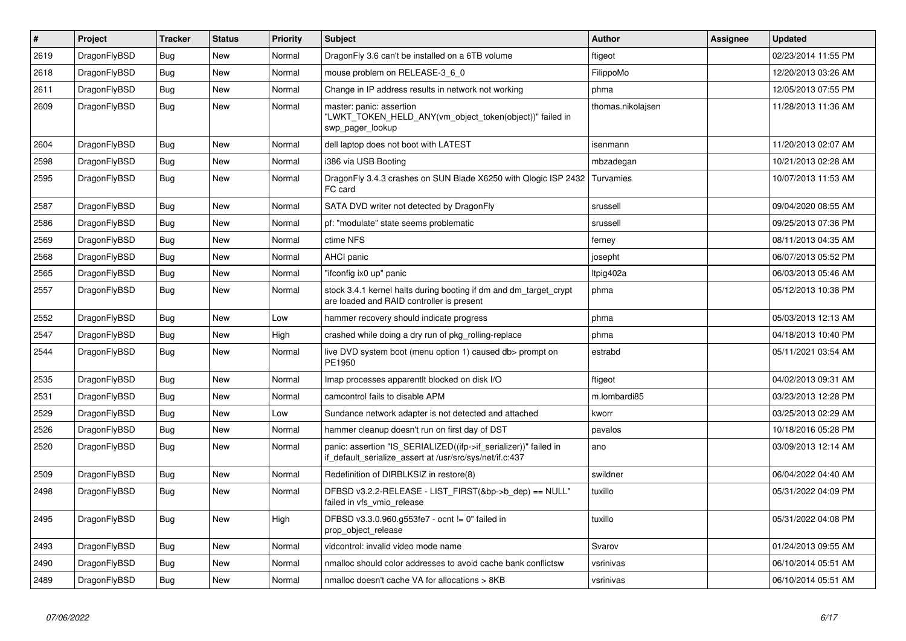| $\vert$ # | Project      | <b>Tracker</b> | <b>Status</b> | <b>Priority</b> | <b>Subject</b>                                                                                                               | <b>Author</b>     | Assignee | <b>Updated</b>      |
|-----------|--------------|----------------|---------------|-----------------|------------------------------------------------------------------------------------------------------------------------------|-------------------|----------|---------------------|
| 2619      | DragonFlyBSD | Bug            | <b>New</b>    | Normal          | DragonFly 3.6 can't be installed on a 6TB volume                                                                             | ftigeot           |          | 02/23/2014 11:55 PM |
| 2618      | DragonFlyBSD | <b>Bug</b>     | <b>New</b>    | Normal          | mouse problem on RELEASE-3 6 0                                                                                               | FilippoMo         |          | 12/20/2013 03:26 AM |
| 2611      | DragonFlyBSD | Bug            | <b>New</b>    | Normal          | Change in IP address results in network not working                                                                          | phma              |          | 12/05/2013 07:55 PM |
| 2609      | DragonFlyBSD | Bug            | New           | Normal          | master: panic: assertion<br>"LWKT_TOKEN_HELD_ANY(vm_object_token(object))" failed in<br>swp pager lookup                     | thomas.nikolajsen |          | 11/28/2013 11:36 AM |
| 2604      | DragonFlyBSD | <b>Bug</b>     | <b>New</b>    | Normal          | dell laptop does not boot with LATEST                                                                                        | isenmann          |          | 11/20/2013 02:07 AM |
| 2598      | DragonFlyBSD | <b>Bug</b>     | <b>New</b>    | Normal          | i386 via USB Booting                                                                                                         | mbzadegan         |          | 10/21/2013 02:28 AM |
| 2595      | DragonFlyBSD | <b>Bug</b>     | <b>New</b>    | Normal          | DragonFly 3.4.3 crashes on SUN Blade X6250 with Qlogic ISP 2432<br>FC card                                                   | l Turvamies       |          | 10/07/2013 11:53 AM |
| 2587      | DragonFlyBSD | Bug            | <b>New</b>    | Normal          | SATA DVD writer not detected by DragonFly                                                                                    | srussell          |          | 09/04/2020 08:55 AM |
| 2586      | DragonFlyBSD | <b>Bug</b>     | <b>New</b>    | Normal          | pf: "modulate" state seems problematic                                                                                       | srussell          |          | 09/25/2013 07:36 PM |
| 2569      | DragonFlyBSD | <b>Bug</b>     | <b>New</b>    | Normal          | ctime NFS                                                                                                                    | ferney            |          | 08/11/2013 04:35 AM |
| 2568      | DragonFlyBSD | <b>Bug</b>     | <b>New</b>    | Normal          | AHCI panic                                                                                                                   | josepht           |          | 06/07/2013 05:52 PM |
| 2565      | DragonFlyBSD | <b>Bug</b>     | New           | Normal          | "ifconfig ix0 up" panic                                                                                                      | Itpig402a         |          | 06/03/2013 05:46 AM |
| 2557      | DragonFlyBSD | <b>Bug</b>     | <b>New</b>    | Normal          | stock 3.4.1 kernel halts during booting if dm and dm_target_crypt<br>are loaded and RAID controller is present               | phma              |          | 05/12/2013 10:38 PM |
| 2552      | DragonFlyBSD | <b>Bug</b>     | <b>New</b>    | Low             | hammer recovery should indicate progress                                                                                     | phma              |          | 05/03/2013 12:13 AM |
| 2547      | DragonFlyBSD | <b>Bug</b>     | <b>New</b>    | High            | crashed while doing a dry run of pkg_rolling-replace                                                                         | phma              |          | 04/18/2013 10:40 PM |
| 2544      | DragonFlyBSD | <b>Bug</b>     | <b>New</b>    | Normal          | live DVD system boot (menu option 1) caused db> prompt on<br>PE1950                                                          | estrabd           |          | 05/11/2021 03:54 AM |
| 2535      | DragonFlyBSD | <b>Bug</b>     | <b>New</b>    | Normal          | Imap processes apparentit blocked on disk I/O                                                                                | ftigeot           |          | 04/02/2013 09:31 AM |
| 2531      | DragonFlyBSD | <b>Bug</b>     | <b>New</b>    | Normal          | camcontrol fails to disable APM                                                                                              | m.lombardi85      |          | 03/23/2013 12:28 PM |
| 2529      | DragonFlyBSD | <b>Bug</b>     | <b>New</b>    | Low             | Sundance network adapter is not detected and attached                                                                        | kworr             |          | 03/25/2013 02:29 AM |
| 2526      | DragonFlyBSD | Bug            | <b>New</b>    | Normal          | hammer cleanup doesn't run on first day of DST                                                                               | pavalos           |          | 10/18/2016 05:28 PM |
| 2520      | DragonFlyBSD | Bug            | <b>New</b>    | Normal          | panic: assertion "IS_SERIALIZED((ifp->if_serializer))" failed in<br>if_default_serialize_assert at /usr/src/sys/net/if.c:437 | ano               |          | 03/09/2013 12:14 AM |
| 2509      | DragonFlyBSD | Bug            | <b>New</b>    | Normal          | Redefinition of DIRBLKSIZ in restore(8)                                                                                      | swildner          |          | 06/04/2022 04:40 AM |
| 2498      | DragonFlyBSD | Bug            | <b>New</b>    | Normal          | DFBSD v3.2.2-RELEASE - LIST_FIRST(&bp->b_dep) == NULL"<br>failed in vfs vmio release                                         | tuxillo           |          | 05/31/2022 04:09 PM |
| 2495      | DragonFlyBSD | Bug            | New           | High            | DFBSD v3.3.0.960.g553fe7 - ocnt != 0" failed in<br>prop_object_release                                                       | tuxillo           |          | 05/31/2022 04:08 PM |
| 2493      | DragonFlyBSD | <b>Bug</b>     | <b>New</b>    | Normal          | vidcontrol: invalid video mode name                                                                                          | Svarov            |          | 01/24/2013 09:55 AM |
| 2490      | DragonFlyBSD | <b>Bug</b>     | <b>New</b>    | Normal          | nmalloc should color addresses to avoid cache bank conflictsw                                                                | vsrinivas         |          | 06/10/2014 05:51 AM |
| 2489      | DragonFlyBSD | Bug            | New           | Normal          | nmalloc doesn't cache VA for allocations > 8KB                                                                               | vsrinivas         |          | 06/10/2014 05:51 AM |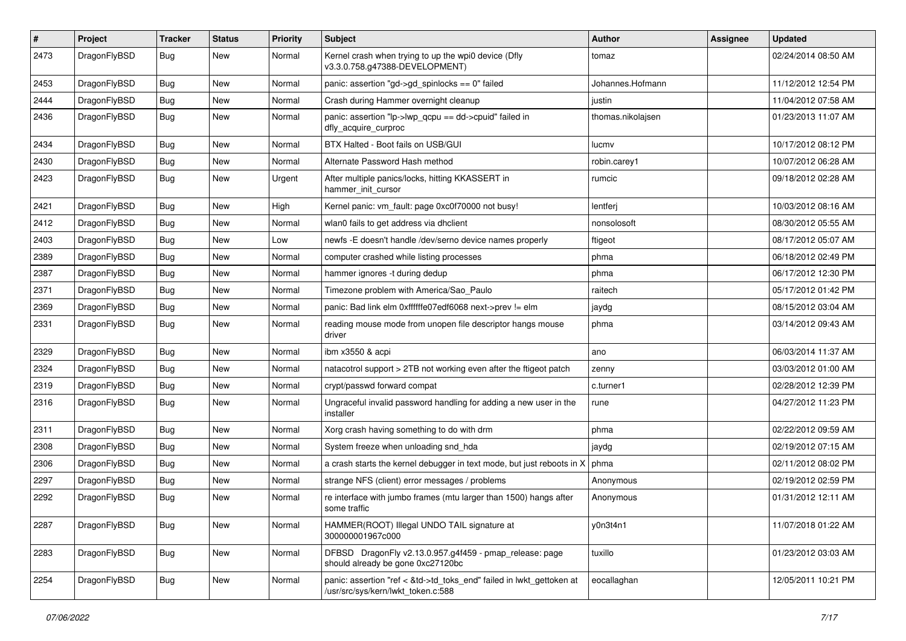| $\pmb{\#}$ | Project      | <b>Tracker</b> | <b>Status</b> | <b>Priority</b> | Subject                                                                                                    | Author            | Assignee | <b>Updated</b>      |
|------------|--------------|----------------|---------------|-----------------|------------------------------------------------------------------------------------------------------------|-------------------|----------|---------------------|
| 2473       | DragonFlyBSD | Bug            | New           | Normal          | Kernel crash when trying to up the wpi0 device (Dfly<br>v3.3.0.758.g47388-DEVELOPMENT)                     | tomaz             |          | 02/24/2014 08:50 AM |
| 2453       | DragonFlyBSD | Bug            | <b>New</b>    | Normal          | panic: assertion "gd->gd spinlocks == $0$ " failed                                                         | Johannes.Hofmann  |          | 11/12/2012 12:54 PM |
| 2444       | DragonFlyBSD | Bug            | New           | Normal          | Crash during Hammer overnight cleanup                                                                      | justin            |          | 11/04/2012 07:58 AM |
| 2436       | DragonFlyBSD | Bug            | New           | Normal          | panic: assertion "lp->lwp_qcpu == dd->cpuid" failed in<br>dfly_acquire_curproc                             | thomas.nikolajsen |          | 01/23/2013 11:07 AM |
| 2434       | DragonFlyBSD | Bug            | <b>New</b>    | Normal          | BTX Halted - Boot fails on USB/GUI                                                                         | lucmv             |          | 10/17/2012 08:12 PM |
| 2430       | DragonFlyBSD | <b>Bug</b>     | New           | Normal          | Alternate Password Hash method                                                                             | robin.carey1      |          | 10/07/2012 06:28 AM |
| 2423       | DragonFlyBSD | Bug            | New           | Urgent          | After multiple panics/locks, hitting KKASSERT in<br>hammer_init_cursor                                     | rumcic            |          | 09/18/2012 02:28 AM |
| 2421       | DragonFlyBSD | Bug            | <b>New</b>    | High            | Kernel panic: vm fault: page 0xc0f70000 not busy!                                                          | lentferj          |          | 10/03/2012 08:16 AM |
| 2412       | DragonFlyBSD | Bug            | <b>New</b>    | Normal          | wlan0 fails to get address via dhclient                                                                    | nonsolosoft       |          | 08/30/2012 05:55 AM |
| 2403       | DragonFlyBSD | Bug            | <b>New</b>    | Low             | newfs -E doesn't handle /dev/serno device names properly                                                   | ftigeot           |          | 08/17/2012 05:07 AM |
| 2389       | DragonFlyBSD | <b>Bug</b>     | New           | Normal          | computer crashed while listing processes                                                                   | phma              |          | 06/18/2012 02:49 PM |
| 2387       | DragonFlyBSD | <b>Bug</b>     | <b>New</b>    | Normal          | hammer ignores -t during dedup                                                                             | phma              |          | 06/17/2012 12:30 PM |
| 2371       | DragonFlyBSD | Bug            | <b>New</b>    | Normal          | Timezone problem with America/Sao_Paulo                                                                    | raitech           |          | 05/17/2012 01:42 PM |
| 2369       | DragonFlyBSD | Bug            | <b>New</b>    | Normal          | panic: Bad link elm 0xffffffe07edf6068 next->prev != elm                                                   | jaydg             |          | 08/15/2012 03:04 AM |
| 2331       | DragonFlyBSD | Bug            | New           | Normal          | reading mouse mode from unopen file descriptor hangs mouse<br>driver                                       | phma              |          | 03/14/2012 09:43 AM |
| 2329       | DragonFlyBSD | Bug            | <b>New</b>    | Normal          | ibm x3550 & acpi                                                                                           | ano               |          | 06/03/2014 11:37 AM |
| 2324       | DragonFlyBSD | Bug            | New           | Normal          | natacotrol support > 2TB not working even after the ftigeot patch                                          | zenny             |          | 03/03/2012 01:00 AM |
| 2319       | DragonFlyBSD | Bug            | New           | Normal          | crypt/passwd forward compat                                                                                | c.turner1         |          | 02/28/2012 12:39 PM |
| 2316       | DragonFlyBSD | Bug            | New           | Normal          | Ungraceful invalid password handling for adding a new user in the<br>installer                             | rune              |          | 04/27/2012 11:23 PM |
| 2311       | DragonFlyBSD | Bug            | <b>New</b>    | Normal          | Xorg crash having something to do with drm                                                                 | phma              |          | 02/22/2012 09:59 AM |
| 2308       | DragonFlyBSD | Bug            | <b>New</b>    | Normal          | System freeze when unloading snd_hda                                                                       | jaydg             |          | 02/19/2012 07:15 AM |
| 2306       | DragonFlyBSD | <b>Bug</b>     | New           | Normal          | a crash starts the kernel debugger in text mode, but just reboots in X                                     | phma              |          | 02/11/2012 08:02 PM |
| 2297       | DragonFlyBSD | Bug            | <b>New</b>    | Normal          | strange NFS (client) error messages / problems                                                             | Anonymous         |          | 02/19/2012 02:59 PM |
| 2292       | DragonFlyBSD | <b>Bug</b>     | New           | Normal          | re interface with jumbo frames (mtu larger than 1500) hangs after<br>some traffic                          | Anonymous         |          | 01/31/2012 12:11 AM |
| 2287       | DragonFlyBSD | <b>Bug</b>     | New           | Normal          | HAMMER(ROOT) Illegal UNDO TAIL signature at<br>300000001967c000                                            | y0n3t4n1          |          | 11/07/2018 01:22 AM |
| 2283       | DragonFlyBSD | Bug            | New           | Normal          | DFBSD DragonFly v2.13.0.957.g4f459 - pmap_release: page<br>should already be gone 0xc27120bc               | tuxillo           |          | 01/23/2012 03:03 AM |
| 2254       | DragonFlyBSD | <b>Bug</b>     | New           | Normal          | panic: assertion "ref < &td->td_toks_end" failed in lwkt_gettoken at<br>/usr/src/sys/kern/lwkt_token.c:588 | eocallaghan       |          | 12/05/2011 10:21 PM |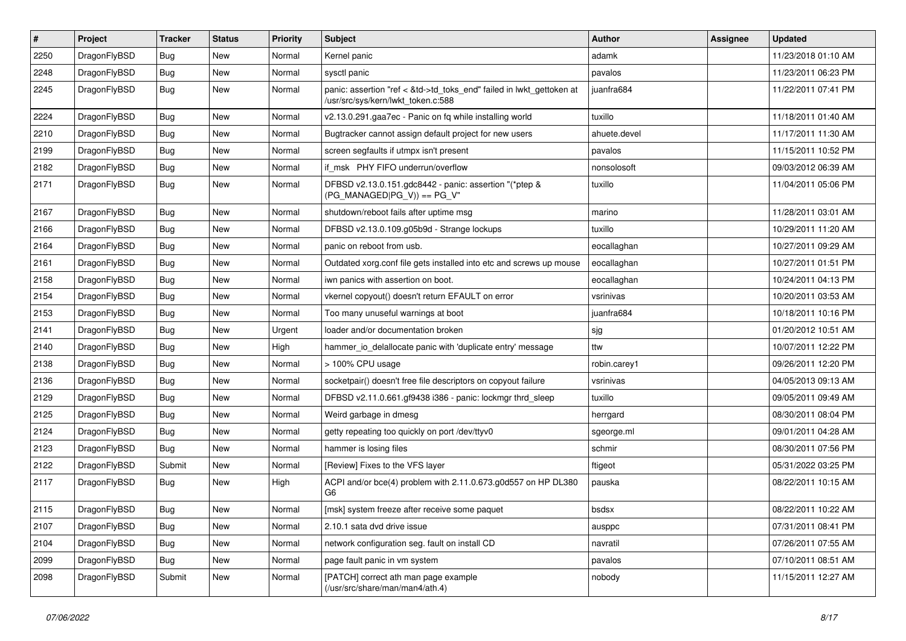| $\sharp$ | Project      | <b>Tracker</b> | <b>Status</b> | <b>Priority</b> | Subject                                                                                                    | <b>Author</b> | Assignee | <b>Updated</b>      |
|----------|--------------|----------------|---------------|-----------------|------------------------------------------------------------------------------------------------------------|---------------|----------|---------------------|
| 2250     | DragonFlyBSD | Bug            | New           | Normal          | Kernel panic                                                                                               | adamk         |          | 11/23/2018 01:10 AM |
| 2248     | DragonFlyBSD | Bug            | New           | Normal          | sysctl panic                                                                                               | pavalos       |          | 11/23/2011 06:23 PM |
| 2245     | DragonFlyBSD | Bug            | New           | Normal          | panic: assertion "ref < &td->td_toks_end" failed in lwkt_gettoken at<br>/usr/src/sys/kern/lwkt_token.c:588 | juanfra684    |          | 11/22/2011 07:41 PM |
| 2224     | DragonFlyBSD | Bug            | <b>New</b>    | Normal          | v2.13.0.291.gaa7ec - Panic on fq while installing world                                                    | tuxillo       |          | 11/18/2011 01:40 AM |
| 2210     | DragonFlyBSD | Bug            | New           | Normal          | Bugtracker cannot assign default project for new users                                                     | ahuete.devel  |          | 11/17/2011 11:30 AM |
| 2199     | DragonFlyBSD | Bug            | New           | Normal          | screen segfaults if utmpx isn't present                                                                    | pavalos       |          | 11/15/2011 10:52 PM |
| 2182     | DragonFlyBSD | Bug            | New           | Normal          | if_msk PHY FIFO underrun/overflow                                                                          | nonsolosoft   |          | 09/03/2012 06:39 AM |
| 2171     | DragonFlyBSD | Bug            | New           | Normal          | DFBSD v2.13.0.151.gdc8442 - panic: assertion "(*ptep &<br>$(PG_MANAGED PG_V)$ == $PG_V$ "                  | tuxillo       |          | 11/04/2011 05:06 PM |
| 2167     | DragonFlyBSD | Bug            | <b>New</b>    | Normal          | shutdown/reboot fails after uptime msg                                                                     | marino        |          | 11/28/2011 03:01 AM |
| 2166     | DragonFlyBSD | Bug            | <b>New</b>    | Normal          | DFBSD v2.13.0.109.g05b9d - Strange lockups                                                                 | tuxillo       |          | 10/29/2011 11:20 AM |
| 2164     | DragonFlyBSD | Bug            | New           | Normal          | panic on reboot from usb.                                                                                  | eocallaghan   |          | 10/27/2011 09:29 AM |
| 2161     | DragonFlyBSD | Bug            | New           | Normal          | Outdated xorg.conf file gets installed into etc and screws up mouse                                        | eocallaghan   |          | 10/27/2011 01:51 PM |
| 2158     | DragonFlyBSD | Bug            | New           | Normal          | iwn panics with assertion on boot.                                                                         | eocallaghan   |          | 10/24/2011 04:13 PM |
| 2154     | DragonFlyBSD | Bug            | <b>New</b>    | Normal          | vkernel copyout() doesn't return EFAULT on error                                                           | vsrinivas     |          | 10/20/2011 03:53 AM |
| 2153     | DragonFlyBSD | Bug            | New           | Normal          | Too many unuseful warnings at boot                                                                         | juanfra684    |          | 10/18/2011 10:16 PM |
| 2141     | DragonFlyBSD | Bug            | <b>New</b>    | Urgent          | loader and/or documentation broken                                                                         | sjg           |          | 01/20/2012 10:51 AM |
| 2140     | DragonFlyBSD | Bug            | New           | High            | hammer io delallocate panic with 'duplicate entry' message                                                 | ttw           |          | 10/07/2011 12:22 PM |
| 2138     | DragonFlyBSD | Bug            | New           | Normal          | > 100% CPU usage                                                                                           | robin.carey1  |          | 09/26/2011 12:20 PM |
| 2136     | DragonFlyBSD | Bug            | New           | Normal          | socketpair() doesn't free file descriptors on copyout failure                                              | vsrinivas     |          | 04/05/2013 09:13 AM |
| 2129     | DragonFlyBSD | Bug            | New           | Normal          | DFBSD v2.11.0.661.gf9438 i386 - panic: lockmgr thrd_sleep                                                  | tuxillo       |          | 09/05/2011 09:49 AM |
| 2125     | DragonFlyBSD | <b>Bug</b>     | New           | Normal          | Weird garbage in dmesg                                                                                     | herrgard      |          | 08/30/2011 08:04 PM |
| 2124     | DragonFlyBSD | <b>Bug</b>     | New           | Normal          | getty repeating too quickly on port /dev/ttyv0                                                             | sgeorge.ml    |          | 09/01/2011 04:28 AM |
| 2123     | DragonFlyBSD | <b>Bug</b>     | <b>New</b>    | Normal          | hammer is losing files                                                                                     | schmir        |          | 08/30/2011 07:56 PM |
| 2122     | DragonFlyBSD | Submit         | New           | Normal          | [Review] Fixes to the VFS layer                                                                            | ftigeot       |          | 05/31/2022 03:25 PM |
| 2117     | DragonFlyBSD | Bug            | <b>New</b>    | High            | ACPI and/or bce(4) problem with 2.11.0.673.g0d557 on HP DL380<br>G6                                        | pauska        |          | 08/22/2011 10:15 AM |
| 2115     | DragonFlyBSD | Bug            | <b>New</b>    | Normal          | [msk] system freeze after receive some paquet                                                              | bsdsx         |          | 08/22/2011 10:22 AM |
| 2107     | DragonFlyBSD | <b>Bug</b>     | <b>New</b>    | Normal          | 2.10.1 sata dvd drive issue                                                                                | ausppc        |          | 07/31/2011 08:41 PM |
| 2104     | DragonFlyBSD | <b>Bug</b>     | <b>New</b>    | Normal          | network configuration seg. fault on install CD                                                             | navratil      |          | 07/26/2011 07:55 AM |
| 2099     | DragonFlyBSD | <b>Bug</b>     | <b>New</b>    | Normal          | page fault panic in vm system                                                                              | pavalos       |          | 07/10/2011 08:51 AM |
| 2098     | DragonFlyBSD | Submit         | New           | Normal          | [PATCH] correct ath man page example<br>(/usr/src/share/man/man4/ath.4)                                    | nobody        |          | 11/15/2011 12:27 AM |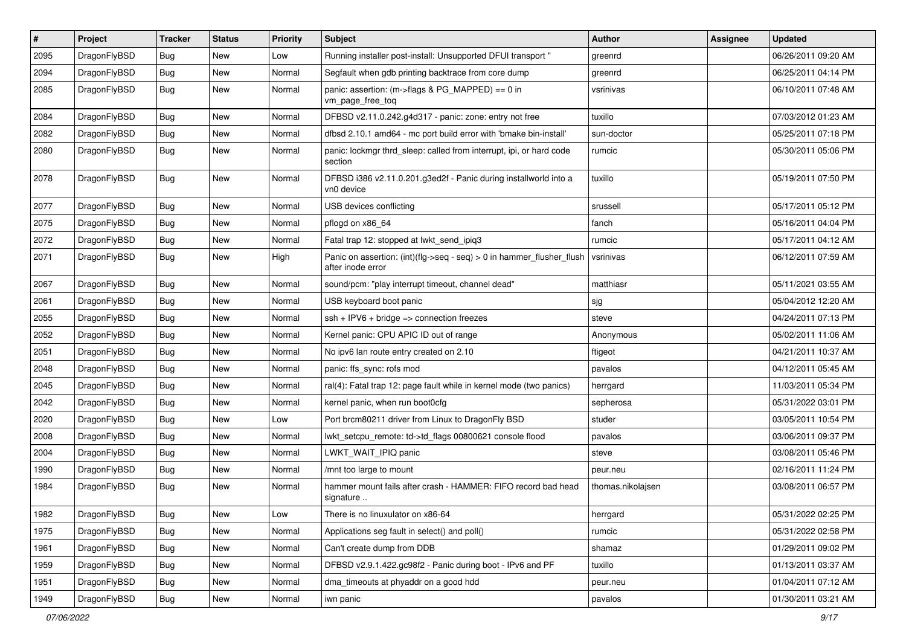| $\sharp$ | Project      | <b>Tracker</b> | <b>Status</b> | <b>Priority</b> | Subject                                                                                    | <b>Author</b>     | Assignee | <b>Updated</b>      |
|----------|--------------|----------------|---------------|-----------------|--------------------------------------------------------------------------------------------|-------------------|----------|---------------------|
| 2095     | DragonFlyBSD | <b>Bug</b>     | <b>New</b>    | Low             | Running installer post-install: Unsupported DFUI transport "                               | greenrd           |          | 06/26/2011 09:20 AM |
| 2094     | DragonFlyBSD | <b>Bug</b>     | <b>New</b>    | Normal          | Segfault when gdb printing backtrace from core dump                                        | greenrd           |          | 06/25/2011 04:14 PM |
| 2085     | DragonFlyBSD | Bug            | New           | Normal          | panic: assertion: (m->flags & PG_MAPPED) == 0 in<br>vm_page_free_toq                       | vsrinivas         |          | 06/10/2011 07:48 AM |
| 2084     | DragonFlyBSD | <b>Bug</b>     | <b>New</b>    | Normal          | DFBSD v2.11.0.242.g4d317 - panic: zone: entry not free                                     | tuxillo           |          | 07/03/2012 01:23 AM |
| 2082     | DragonFlyBSD | <b>Bug</b>     | <b>New</b>    | Normal          | dfbsd 2.10.1 amd64 - mc port build error with 'bmake bin-install'                          | sun-doctor        |          | 05/25/2011 07:18 PM |
| 2080     | DragonFlyBSD | Bug            | <b>New</b>    | Normal          | panic: lockmgr thrd_sleep: called from interrupt, ipi, or hard code<br>section             | rumcic            |          | 05/30/2011 05:06 PM |
| 2078     | DragonFlyBSD | Bug            | <b>New</b>    | Normal          | DFBSD i386 v2.11.0.201.g3ed2f - Panic during installworld into a<br>vn0 device             | tuxillo           |          | 05/19/2011 07:50 PM |
| 2077     | DragonFlyBSD | <b>Bug</b>     | <b>New</b>    | Normal          | USB devices conflicting                                                                    | srussell          |          | 05/17/2011 05:12 PM |
| 2075     | DragonFlyBSD | <b>Bug</b>     | <b>New</b>    | Normal          | pflogd on x86 64                                                                           | fanch             |          | 05/16/2011 04:04 PM |
| 2072     | DragonFlyBSD | <b>Bug</b>     | <b>New</b>    | Normal          | Fatal trap 12: stopped at lwkt_send_ipiq3                                                  | rumcic            |          | 05/17/2011 04:12 AM |
| 2071     | DragonFlyBSD | <b>Bug</b>     | New           | High            | Panic on assertion: (int)(flg->seq - seq) > 0 in hammer_flusher_flush<br>after inode error | vsrinivas         |          | 06/12/2011 07:59 AM |
| 2067     | DragonFlyBSD | <b>Bug</b>     | <b>New</b>    | Normal          | sound/pcm: "play interrupt timeout, channel dead"                                          | matthiasr         |          | 05/11/2021 03:55 AM |
| 2061     | DragonFlyBSD | <b>Bug</b>     | New           | Normal          | USB keyboard boot panic                                                                    | sjg               |          | 05/04/2012 12:20 AM |
| 2055     | DragonFlyBSD | <b>Bug</b>     | <b>New</b>    | Normal          | $ssh + IPV6 + bridge \Rightarrow connection freezes$                                       | steve             |          | 04/24/2011 07:13 PM |
| 2052     | DragonFlyBSD | <b>Bug</b>     | New           | Normal          | Kernel panic: CPU APIC ID out of range                                                     | Anonymous         |          | 05/02/2011 11:06 AM |
| 2051     | DragonFlyBSD | <b>Bug</b>     | <b>New</b>    | Normal          | No ipv6 lan route entry created on 2.10                                                    | ftigeot           |          | 04/21/2011 10:37 AM |
| 2048     | DragonFlyBSD | <b>Bug</b>     | <b>New</b>    | Normal          | panic: ffs_sync: rofs mod                                                                  | pavalos           |          | 04/12/2011 05:45 AM |
| 2045     | DragonFlyBSD | <b>Bug</b>     | New           | Normal          | ral(4): Fatal trap 12: page fault while in kernel mode (two panics)                        | herrgard          |          | 11/03/2011 05:34 PM |
| 2042     | DragonFlyBSD | <b>Bug</b>     | <b>New</b>    | Normal          | kernel panic, when run boot0cfg                                                            | sepherosa         |          | 05/31/2022 03:01 PM |
| 2020     | DragonFlyBSD | <b>Bug</b>     | New           | Low             | Port brcm80211 driver from Linux to DragonFly BSD                                          | studer            |          | 03/05/2011 10:54 PM |
| 2008     | DragonFlyBSD | <b>Bug</b>     | New           | Normal          | lwkt_setcpu_remote: td->td_flags 00800621 console flood                                    | pavalos           |          | 03/06/2011 09:37 PM |
| 2004     | DragonFlyBSD | <b>Bug</b>     | <b>New</b>    | Normal          | LWKT_WAIT_IPIQ panic                                                                       | steve             |          | 03/08/2011 05:46 PM |
| 1990     | DragonFlyBSD | <b>Bug</b>     | New           | Normal          | /mnt too large to mount                                                                    | peur.neu          |          | 02/16/2011 11:24 PM |
| 1984     | DragonFlyBSD | <b>Bug</b>     | New           | Normal          | hammer mount fails after crash - HAMMER: FIFO record bad head<br>signature                 | thomas.nikolajsen |          | 03/08/2011 06:57 PM |
| 1982     | DragonFlyBSD | <b>Bug</b>     | New           | Low             | There is no linuxulator on x86-64                                                          | herrgard          |          | 05/31/2022 02:25 PM |
| 1975     | DragonFlyBSD | Bug            | New           | Normal          | Applications seg fault in select() and poll()                                              | rumcic            |          | 05/31/2022 02:58 PM |
| 1961     | DragonFlyBSD | <b>Bug</b>     | New           | Normal          | Can't create dump from DDB                                                                 | shamaz            |          | 01/29/2011 09:02 PM |
| 1959     | DragonFlyBSD | <b>Bug</b>     | New           | Normal          | DFBSD v2.9.1.422.gc98f2 - Panic during boot - IPv6 and PF                                  | tuxillo           |          | 01/13/2011 03:37 AM |
| 1951     | DragonFlyBSD | <b>Bug</b>     | New           | Normal          | dma_timeouts at phyaddr on a good hdd                                                      | peur.neu          |          | 01/04/2011 07:12 AM |
| 1949     | DragonFlyBSD | <b>Bug</b>     | New           | Normal          | iwn panic                                                                                  | pavalos           |          | 01/30/2011 03:21 AM |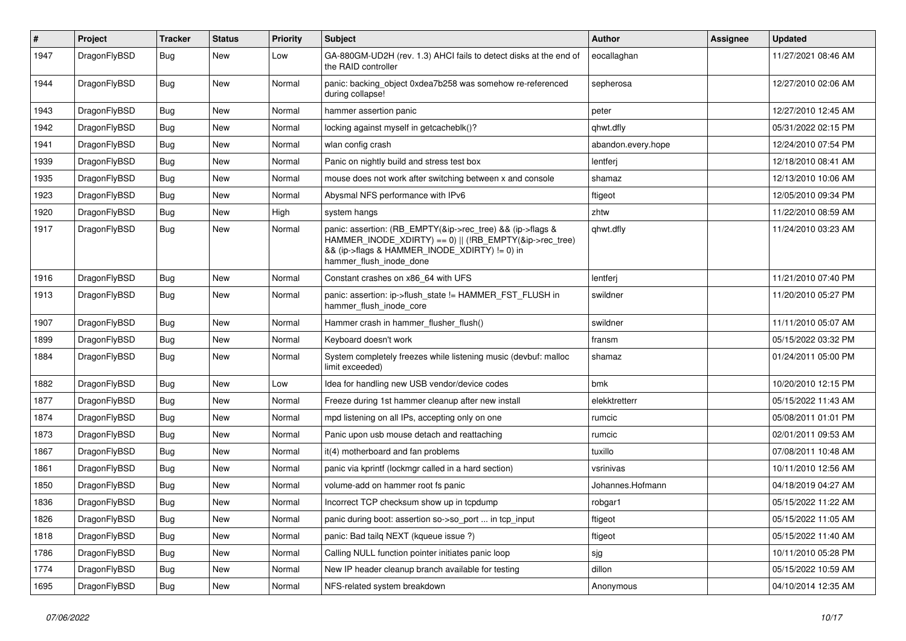| $\pmb{\#}$ | Project      | Tracker    | <b>Status</b> | <b>Priority</b> | Subject                                                                                                                                                                                           | <b>Author</b>      | Assignee | <b>Updated</b>      |
|------------|--------------|------------|---------------|-----------------|---------------------------------------------------------------------------------------------------------------------------------------------------------------------------------------------------|--------------------|----------|---------------------|
| 1947       | DragonFlyBSD | Bug        | <b>New</b>    | Low             | GA-880GM-UD2H (rev. 1.3) AHCI fails to detect disks at the end of<br>the RAID controller                                                                                                          | eocallaghan        |          | 11/27/2021 08:46 AM |
| 1944       | DragonFlyBSD | <b>Bug</b> | New           | Normal          | panic: backing object 0xdea7b258 was somehow re-referenced<br>during collapse!                                                                                                                    | sepherosa          |          | 12/27/2010 02:06 AM |
| 1943       | DragonFlyBSD | <b>Bug</b> | <b>New</b>    | Normal          | hammer assertion panic                                                                                                                                                                            | peter              |          | 12/27/2010 12:45 AM |
| 1942       | DragonFlyBSD | <b>Bug</b> | New           | Normal          | locking against myself in getcacheblk()?                                                                                                                                                          | qhwt.dfly          |          | 05/31/2022 02:15 PM |
| 1941       | DragonFlyBSD | Bug        | <b>New</b>    | Normal          | wlan config crash                                                                                                                                                                                 | abandon.every.hope |          | 12/24/2010 07:54 PM |
| 1939       | DragonFlyBSD | Bug        | New           | Normal          | Panic on nightly build and stress test box                                                                                                                                                        | lentferj           |          | 12/18/2010 08:41 AM |
| 1935       | DragonFlyBSD | <b>Bug</b> | New           | Normal          | mouse does not work after switching between x and console                                                                                                                                         | shamaz             |          | 12/13/2010 10:06 AM |
| 1923       | DragonFlyBSD | Bug        | New           | Normal          | Abysmal NFS performance with IPv6                                                                                                                                                                 | ftigeot            |          | 12/05/2010 09:34 PM |
| 1920       | DragonFlyBSD | <b>Bug</b> | New           | High            | system hangs                                                                                                                                                                                      | zhtw               |          | 11/22/2010 08:59 AM |
| 1917       | DragonFlyBSD | Bug        | New           | Normal          | panic: assertion: (RB_EMPTY(&ip->rec_tree) && (ip->flags &<br>HAMMER_INODE_XDIRTY) == 0)    (!RB_EMPTY(&ip->rec_tree)<br>&& (ip->flags & HAMMER INODE XDIRTY) != 0) in<br>hammer flush inode done | qhwt.dfly          |          | 11/24/2010 03:23 AM |
| 1916       | DragonFlyBSD | <b>Bug</b> | New           | Normal          | Constant crashes on x86_64 with UFS                                                                                                                                                               | lentferj           |          | 11/21/2010 07:40 PM |
| 1913       | DragonFlyBSD | Bug        | New           | Normal          | panic: assertion: ip->flush_state != HAMMER_FST_FLUSH in<br>hammer_flush_inode_core                                                                                                               | swildner           |          | 11/20/2010 05:27 PM |
| 1907       | DragonFlyBSD | <b>Bug</b> | New           | Normal          | Hammer crash in hammer flusher flush()                                                                                                                                                            | swildner           |          | 11/11/2010 05:07 AM |
| 1899       | DragonFlyBSD | Bug        | New           | Normal          | Keyboard doesn't work                                                                                                                                                                             | fransm             |          | 05/15/2022 03:32 PM |
| 1884       | DragonFlyBSD | <b>Bug</b> | New           | Normal          | System completely freezes while listening music (devbuf: malloc<br>limit exceeded)                                                                                                                | shamaz             |          | 01/24/2011 05:00 PM |
| 1882       | DragonFlyBSD | Bug        | New           | Low             | Idea for handling new USB vendor/device codes                                                                                                                                                     | bmk                |          | 10/20/2010 12:15 PM |
| 1877       | DragonFlyBSD | Bug        | New           | Normal          | Freeze during 1st hammer cleanup after new install                                                                                                                                                | elekktretterr      |          | 05/15/2022 11:43 AM |
| 1874       | DragonFlyBSD | <b>Bug</b> | New           | Normal          | mpd listening on all IPs, accepting only on one                                                                                                                                                   | rumcic             |          | 05/08/2011 01:01 PM |
| 1873       | DragonFlyBSD | <b>Bug</b> | New           | Normal          | Panic upon usb mouse detach and reattaching                                                                                                                                                       | rumcic             |          | 02/01/2011 09:53 AM |
| 1867       | DragonFlyBSD | Bug        | New           | Normal          | it(4) motherboard and fan problems                                                                                                                                                                | tuxillo            |          | 07/08/2011 10:48 AM |
| 1861       | DragonFlyBSD | <b>Bug</b> | New           | Normal          | panic via kprintf (lockmgr called in a hard section)                                                                                                                                              | vsrinivas          |          | 10/11/2010 12:56 AM |
| 1850       | DragonFlyBSD | <b>Bug</b> | New           | Normal          | volume-add on hammer root fs panic                                                                                                                                                                | Johannes.Hofmann   |          | 04/18/2019 04:27 AM |
| 1836       | DragonFlyBSD | <b>Bug</b> | New           | Normal          | Incorrect TCP checksum show up in tcpdump                                                                                                                                                         | robgar1            |          | 05/15/2022 11:22 AM |
| 1826       | DragonFlyBSD | Bug        | New           | Normal          | panic during boot: assertion so->so_port  in tcp_input                                                                                                                                            | ftigeot            |          | 05/15/2022 11:05 AM |
| 1818       | DragonFlyBSD | <b>Bug</b> | New           | Normal          | panic: Bad tailq NEXT (kqueue issue ?)                                                                                                                                                            | ftigeot            |          | 05/15/2022 11:40 AM |
| 1786       | DragonFlyBSD | <b>Bug</b> | New           | Normal          | Calling NULL function pointer initiates panic loop                                                                                                                                                | sjg                |          | 10/11/2010 05:28 PM |
| 1774       | DragonFlyBSD | <b>Bug</b> | New           | Normal          | New IP header cleanup branch available for testing                                                                                                                                                | dillon             |          | 05/15/2022 10:59 AM |
| 1695       | DragonFlyBSD | <b>Bug</b> | New           | Normal          | NFS-related system breakdown                                                                                                                                                                      | Anonymous          |          | 04/10/2014 12:35 AM |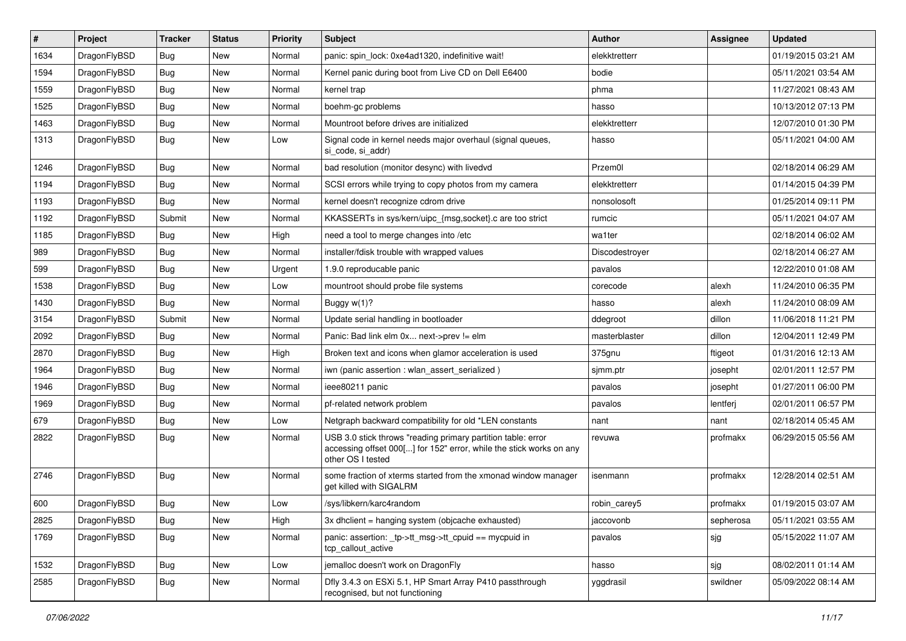| #    | Project      | <b>Tracker</b> | <b>Status</b> | <b>Priority</b> | <b>Subject</b>                                                                                                                                           | <b>Author</b>  | Assignee  | <b>Updated</b>      |
|------|--------------|----------------|---------------|-----------------|----------------------------------------------------------------------------------------------------------------------------------------------------------|----------------|-----------|---------------------|
| 1634 | DragonFlyBSD | Bug            | <b>New</b>    | Normal          | panic: spin lock: 0xe4ad1320, indefinitive wait!                                                                                                         | elekktretterr  |           | 01/19/2015 03:21 AM |
| 1594 | DragonFlyBSD | <b>Bug</b>     | <b>New</b>    | Normal          | Kernel panic during boot from Live CD on Dell E6400                                                                                                      | bodie          |           | 05/11/2021 03:54 AM |
| 1559 | DragonFlyBSD | <b>Bug</b>     | <b>New</b>    | Normal          | kernel trap                                                                                                                                              | phma           |           | 11/27/2021 08:43 AM |
| 1525 | DragonFlyBSD | Bug            | <b>New</b>    | Normal          | boehm-gc problems                                                                                                                                        | hasso          |           | 10/13/2012 07:13 PM |
| 1463 | DragonFlyBSD | <b>Bug</b>     | <b>New</b>    | Normal          | Mountroot before drives are initialized                                                                                                                  | elekktretterr  |           | 12/07/2010 01:30 PM |
| 1313 | DragonFlyBSD | Bug            | New           | Low             | Signal code in kernel needs major overhaul (signal queues,<br>si_code, si_addr)                                                                          | hasso          |           | 05/11/2021 04:00 AM |
| 1246 | DragonFlyBSD | <b>Bug</b>     | <b>New</b>    | Normal          | bad resolution (monitor desync) with livedvd                                                                                                             | Przem0l        |           | 02/18/2014 06:29 AM |
| 1194 | DragonFlyBSD | <b>Bug</b>     | <b>New</b>    | Normal          | SCSI errors while trying to copy photos from my camera                                                                                                   | elekktretterr  |           | 01/14/2015 04:39 PM |
| 1193 | DragonFlyBSD | <b>Bug</b>     | <b>New</b>    | Normal          | kernel doesn't recognize cdrom drive                                                                                                                     | nonsolosoft    |           | 01/25/2014 09:11 PM |
| 1192 | DragonFlyBSD | Submit         | <b>New</b>    | Normal          | KKASSERTs in sys/kern/uipc_{msg,socket}.c are too strict                                                                                                 | rumcic         |           | 05/11/2021 04:07 AM |
| 1185 | DragonFlyBSD | Bug            | <b>New</b>    | High            | need a tool to merge changes into /etc                                                                                                                   | wa1ter         |           | 02/18/2014 06:02 AM |
| 989  | DragonFlyBSD | <b>Bug</b>     | <b>New</b>    | Normal          | installer/fdisk trouble with wrapped values                                                                                                              | Discodestroyer |           | 02/18/2014 06:27 AM |
| 599  | DragonFlyBSD | <b>Bug</b>     | <b>New</b>    | Urgent          | 1.9.0 reproducable panic                                                                                                                                 | pavalos        |           | 12/22/2010 01:08 AM |
| 1538 | DragonFlyBSD | <b>Bug</b>     | <b>New</b>    | Low             | mountroot should probe file systems                                                                                                                      | corecode       | alexh     | 11/24/2010 06:35 PM |
| 1430 | DragonFlyBSD | Bug            | <b>New</b>    | Normal          | Buggy $w(1)$ ?                                                                                                                                           | hasso          | alexh     | 11/24/2010 08:09 AM |
| 3154 | DragonFlyBSD | Submit         | <b>New</b>    | Normal          | Update serial handling in bootloader                                                                                                                     | ddegroot       | dillon    | 11/06/2018 11:21 PM |
| 2092 | DragonFlyBSD | <b>Bug</b>     | <b>New</b>    | Normal          | Panic: Bad link elm 0x next->prev != elm                                                                                                                 | masterblaster  | dillon    | 12/04/2011 12:49 PM |
| 2870 | DragonFlyBSD | Bug            | <b>New</b>    | High            | Broken text and icons when glamor acceleration is used                                                                                                   | 375gnu         | ftigeot   | 01/31/2016 12:13 AM |
| 1964 | DragonFlyBSD | <b>Bug</b>     | <b>New</b>    | Normal          | iwn (panic assertion : wlan assert serialized)                                                                                                           | sjmm.ptr       | josepht   | 02/01/2011 12:57 PM |
| 1946 | DragonFlyBSD | <b>Bug</b>     | <b>New</b>    | Normal          | ieee80211 panic                                                                                                                                          | pavalos        | josepht   | 01/27/2011 06:00 PM |
| 1969 | DragonFlyBSD | <b>Bug</b>     | <b>New</b>    | Normal          | pf-related network problem                                                                                                                               | pavalos        | lentferj  | 02/01/2011 06:57 PM |
| 679  | DragonFlyBSD | <b>Bug</b>     | <b>New</b>    | Low             | Netgraph backward compatibility for old *LEN constants                                                                                                   | nant           | nant      | 02/18/2014 05:45 AM |
| 2822 | DragonFlyBSD | <b>Bug</b>     | <b>New</b>    | Normal          | USB 3.0 stick throws "reading primary partition table: error<br>accessing offset 000[] for 152" error, while the stick works on any<br>other OS I tested | revuwa         | profmakx  | 06/29/2015 05:56 AM |
| 2746 | DragonFlyBSD | Bug            | <b>New</b>    | Normal          | some fraction of xterms started from the xmonad window manager<br>get killed with SIGALRM                                                                | isenmann       | profmakx  | 12/28/2014 02:51 AM |
| 600  | DragonFlyBSD | <b>Bug</b>     | <b>New</b>    | Low             | /sys/libkern/karc4random                                                                                                                                 | robin_carey5   | profmakx  | 01/19/2015 03:07 AM |
| 2825 | DragonFlyBSD | <b>Bug</b>     | New           | High            | 3x dhclient = hanging system (objcache exhausted)                                                                                                        | jaccovonb      | sepherosa | 05/11/2021 03:55 AM |
| 1769 | DragonFlyBSD | Bug            | New           | Normal          | panic: assertion: _tp->tt_msg->tt_cpuid == mycpuid in<br>tcp_callout_active                                                                              | pavalos        | sjg       | 05/15/2022 11:07 AM |
| 1532 | DragonFlyBSD | <b>Bug</b>     | New           | Low             | jemalloc doesn't work on DragonFly                                                                                                                       | hasso          | sjg       | 08/02/2011 01:14 AM |
| 2585 | DragonFlyBSD | Bug            | New           | Normal          | Dfly 3.4.3 on ESXi 5.1, HP Smart Array P410 passthrough<br>recognised, but not functioning                                                               | yggdrasil      | swildner  | 05/09/2022 08:14 AM |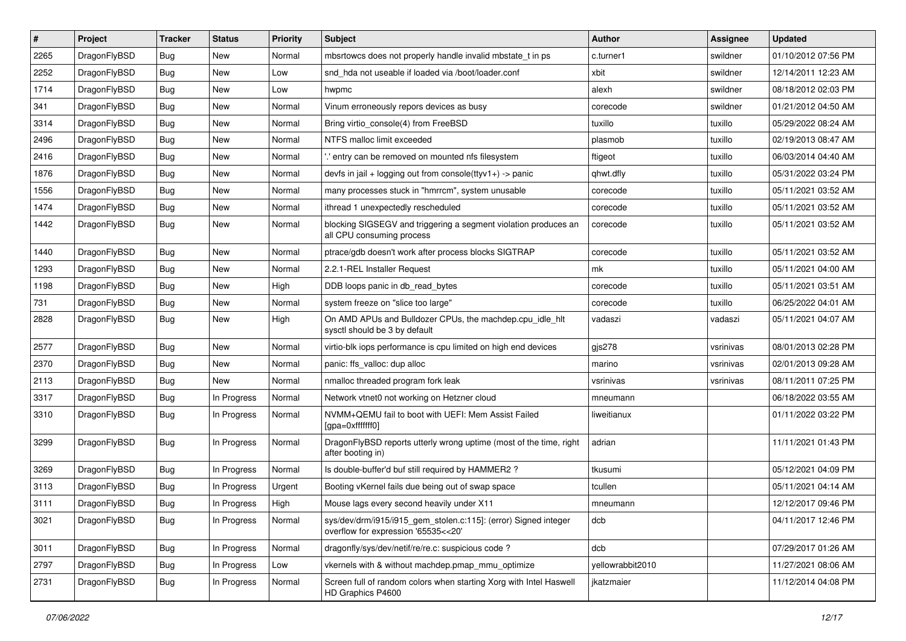| $\vert$ # | Project      | <b>Tracker</b> | <b>Status</b> | <b>Priority</b> | Subject                                                                                                | <b>Author</b>    | <b>Assignee</b> | <b>Updated</b>      |
|-----------|--------------|----------------|---------------|-----------------|--------------------------------------------------------------------------------------------------------|------------------|-----------------|---------------------|
| 2265      | DragonFlyBSD | <b>Bug</b>     | <b>New</b>    | Normal          | mbsrtowcs does not properly handle invalid mbstate_t in ps                                             | c.turner1        | swildner        | 01/10/2012 07:56 PM |
| 2252      | DragonFlyBSD | Bug            | <b>New</b>    | Low             | snd hda not useable if loaded via /boot/loader.conf                                                    | xbit             | swildner        | 12/14/2011 12:23 AM |
| 1714      | DragonFlyBSD | <b>Bug</b>     | <b>New</b>    | Low             | hwpmc                                                                                                  | alexh            | swildner        | 08/18/2012 02:03 PM |
| 341       | DragonFlyBSD | Bug            | <b>New</b>    | Normal          | Vinum erroneously repors devices as busy                                                               | corecode         | swildner        | 01/21/2012 04:50 AM |
| 3314      | DragonFlyBSD | <b>Bug</b>     | <b>New</b>    | Normal          | Bring virtio_console(4) from FreeBSD                                                                   | tuxillo          | tuxillo         | 05/29/2022 08:24 AM |
| 2496      | DragonFlyBSD | <b>Bug</b>     | New           | Normal          | NTFS malloc limit exceeded                                                                             | plasmob          | tuxillo         | 02/19/2013 08:47 AM |
| 2416      | DragonFlyBSD | Bug            | <b>New</b>    | Normal          | ".' entry can be removed on mounted nfs filesystem                                                     | ftigeot          | tuxillo         | 06/03/2014 04:40 AM |
| 1876      | DragonFlyBSD | Bug            | New           | Normal          | devfs in jail + logging out from console $(ttvv1+)$ -> panic                                           | qhwt.dfly        | tuxillo         | 05/31/2022 03:24 PM |
| 1556      | DragonFlyBSD | <b>Bug</b>     | <b>New</b>    | Normal          | many processes stuck in "hmrrcm", system unusable                                                      | corecode         | tuxillo         | 05/11/2021 03:52 AM |
| 1474      | DragonFlyBSD | <b>Bug</b>     | <b>New</b>    | Normal          | ithread 1 unexpectedly rescheduled                                                                     | corecode         | tuxillo         | 05/11/2021 03:52 AM |
| 1442      | DragonFlyBSD | <b>Bug</b>     | <b>New</b>    | Normal          | blocking SIGSEGV and triggering a segment violation produces an<br>all CPU consuming process           | corecode         | tuxillo         | 05/11/2021 03:52 AM |
| 1440      | DragonFlyBSD | <b>Bug</b>     | <b>New</b>    | Normal          | ptrace/gdb doesn't work after process blocks SIGTRAP                                                   | corecode         | tuxillo         | 05/11/2021 03:52 AM |
| 1293      | DragonFlyBSD | <b>Bug</b>     | New           | Normal          | 2.2.1-REL Installer Request                                                                            | mk               | tuxillo         | 05/11/2021 04:00 AM |
| 1198      | DragonFlyBSD | Bug            | <b>New</b>    | High            | DDB loops panic in db_read_bytes                                                                       | corecode         | tuxillo         | 05/11/2021 03:51 AM |
| 731       | DragonFlyBSD | <b>Bug</b>     | New           | Normal          | system freeze on "slice too large"                                                                     | corecode         | tuxillo         | 06/25/2022 04:01 AM |
| 2828      | DragonFlyBSD | <b>Bug</b>     | New           | High            | On AMD APUs and Bulldozer CPUs, the machdep.cpu_idle_hlt<br>sysctl should be 3 by default              | vadaszi          | vadaszi         | 05/11/2021 04:07 AM |
| 2577      | DragonFlyBSD | <b>Bug</b>     | <b>New</b>    | Normal          | virtio-blk iops performance is cpu limited on high end devices                                         | gjs278           | vsrinivas       | 08/01/2013 02:28 PM |
| 2370      | DragonFlyBSD | Bug            | <b>New</b>    | Normal          | panic: ffs_valloc: dup alloc                                                                           | marino           | vsrinivas       | 02/01/2013 09:28 AM |
| 2113      | DragonFlyBSD | <b>Bug</b>     | <b>New</b>    | Normal          | nmalloc threaded program fork leak                                                                     | vsrinivas        | vsrinivas       | 08/11/2011 07:25 PM |
| 3317      | DragonFlyBSD | <b>Bug</b>     | In Progress   | Normal          | Network vtnet0 not working on Hetzner cloud                                                            | mneumann         |                 | 06/18/2022 03:55 AM |
| 3310      | DragonFlyBSD | <b>Bug</b>     | In Progress   | Normal          | NVMM+QEMU fail to boot with UEFI: Mem Assist Failed<br>[gpa=0xfffffff0]                                | liweitianux      |                 | 01/11/2022 03:22 PM |
| 3299      | DragonFlyBSD | Bug            | In Progress   | Normal          | DragonFlyBSD reports utterly wrong uptime (most of the time, right<br>after booting in)                | adrian           |                 | 11/11/2021 01:43 PM |
| 3269      | DragonFlyBSD | <b>Bug</b>     | In Progress   | Normal          | Is double-buffer'd buf still required by HAMMER2?                                                      | tkusumi          |                 | 05/12/2021 04:09 PM |
| 3113      | DragonFlyBSD | Bug            | In Progress   | Urgent          | Booting vKernel fails due being out of swap space                                                      | tcullen          |                 | 05/11/2021 04:14 AM |
| 3111      | DragonFlyBSD | <b>Bug</b>     | In Progress   | High            | Mouse lags every second heavily under X11                                                              | mneumann         |                 | 12/12/2017 09:46 PM |
| 3021      | DragonFlyBSD | <b>Bug</b>     | In Progress   | Normal          | sys/dev/drm/i915/i915_gem_stolen.c:115]: (error) Signed integer<br>overflow for expression '65535<<20' | dcb              |                 | 04/11/2017 12:46 PM |
| 3011      | DragonFlyBSD | <b>Bug</b>     | In Progress   | Normal          | dragonfly/sys/dev/netif/re/re.c: suspicious code?                                                      | dcb              |                 | 07/29/2017 01:26 AM |
| 2797      | DragonFlyBSD | <b>Bug</b>     | In Progress   | Low             | vkernels with & without machdep.pmap_mmu_optimize                                                      | yellowrabbit2010 |                 | 11/27/2021 08:06 AM |
| 2731      | DragonFlyBSD | <b>Bug</b>     | In Progress   | Normal          | Screen full of random colors when starting Xorg with Intel Haswell<br>HD Graphics P4600                | jkatzmaier       |                 | 11/12/2014 04:08 PM |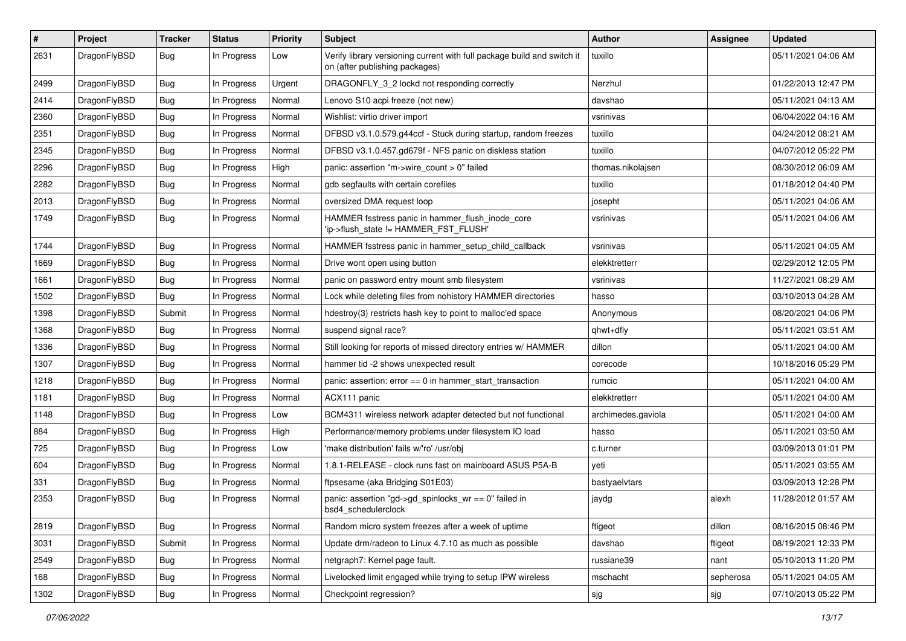| ∦    | Project      | <b>Tracker</b> | <b>Status</b> | <b>Priority</b> | Subject                                                                                                   | Author             | Assignee  | <b>Updated</b>      |
|------|--------------|----------------|---------------|-----------------|-----------------------------------------------------------------------------------------------------------|--------------------|-----------|---------------------|
| 2631 | DragonFlyBSD | Bug            | In Progress   | Low             | Verify library versioning current with full package build and switch it<br>on (after publishing packages) | tuxillo            |           | 05/11/2021 04:06 AM |
| 2499 | DragonFlyBSD | <b>Bug</b>     | In Progress   | Urgent          | DRAGONFLY 3 2 lockd not responding correctly                                                              | Nerzhul            |           | 01/22/2013 12:47 PM |
| 2414 | DragonFlyBSD | Bug            | In Progress   | Normal          | Lenovo S10 acpi freeze (not new)                                                                          | davshao            |           | 05/11/2021 04:13 AM |
| 2360 | DragonFlyBSD | <b>Bug</b>     | In Progress   | Normal          | Wishlist: virtio driver import                                                                            | vsrinivas          |           | 06/04/2022 04:16 AM |
| 2351 | DragonFlyBSD | <b>Bug</b>     | In Progress   | Normal          | DFBSD v3.1.0.579.g44ccf - Stuck during startup, random freezes                                            | tuxillo            |           | 04/24/2012 08:21 AM |
| 2345 | DragonFlyBSD | Bug            | In Progress   | Normal          | DFBSD v3.1.0.457.gd679f - NFS panic on diskless station                                                   | tuxillo            |           | 04/07/2012 05:22 PM |
| 2296 | DragonFlyBSD | <b>Bug</b>     | In Progress   | High            | panic: assertion "m->wire count > 0" failed                                                               | thomas.nikolajsen  |           | 08/30/2012 06:09 AM |
| 2282 | DragonFlyBSD | <b>Bug</b>     | In Progress   | Normal          | gdb segfaults with certain corefiles                                                                      | tuxillo            |           | 01/18/2012 04:40 PM |
| 2013 | DragonFlyBSD | Bug            | In Progress   | Normal          | oversized DMA request loop                                                                                | josepht            |           | 05/11/2021 04:06 AM |
| 1749 | DragonFlyBSD | <b>Bug</b>     | In Progress   | Normal          | HAMMER fsstress panic in hammer_flush_inode_core<br>'ip->flush_state != HAMMER_FST_FLUSH'                 | vsrinivas          |           | 05/11/2021 04:06 AM |
| 1744 | DragonFlyBSD | <b>Bug</b>     | In Progress   | Normal          | HAMMER fsstress panic in hammer_setup_child_callback                                                      | vsrinivas          |           | 05/11/2021 04:05 AM |
| 1669 | DragonFlyBSD | <b>Bug</b>     | In Progress   | Normal          | Drive wont open using button                                                                              | elekktretterr      |           | 02/29/2012 12:05 PM |
| 1661 | DragonFlyBSD | Bug            | In Progress   | Normal          | panic on password entry mount smb filesystem                                                              | vsrinivas          |           | 11/27/2021 08:29 AM |
| 1502 | DragonFlyBSD | <b>Bug</b>     | In Progress   | Normal          | Lock while deleting files from nohistory HAMMER directories                                               | hasso              |           | 03/10/2013 04:28 AM |
| 1398 | DragonFlyBSD | Submit         | In Progress   | Normal          | hdestroy(3) restricts hash key to point to malloc'ed space                                                | Anonymous          |           | 08/20/2021 04:06 PM |
| 1368 | DragonFlyBSD | Bug            | In Progress   | Normal          | suspend signal race?                                                                                      | qhwt+dfly          |           | 05/11/2021 03:51 AM |
| 1336 | DragonFlyBSD | Bug            | In Progress   | Normal          | Still looking for reports of missed directory entries w/ HAMMER                                           | dillon             |           | 05/11/2021 04:00 AM |
| 1307 | DragonFlyBSD | Bug            | In Progress   | Normal          | hammer tid -2 shows unexpected result                                                                     | corecode           |           | 10/18/2016 05:29 PM |
| 1218 | DragonFlyBSD | <b>Bug</b>     | In Progress   | Normal          | panic: assertion: $error == 0$ in hammer start transaction                                                | rumcic             |           | 05/11/2021 04:00 AM |
| 1181 | DragonFlyBSD | <b>Bug</b>     | In Progress   | Normal          | ACX111 panic                                                                                              | elekktretterr      |           | 05/11/2021 04:00 AM |
| 1148 | DragonFlyBSD | Bug            | In Progress   | Low             | BCM4311 wireless network adapter detected but not functional                                              | archimedes.gaviola |           | 05/11/2021 04:00 AM |
| 884  | DragonFlyBSD | <b>Bug</b>     | In Progress   | High            | Performance/memory problems under filesystem IO load                                                      | hasso              |           | 05/11/2021 03:50 AM |
| 725  | DragonFlyBSD | Bug            | In Progress   | Low             | 'make distribution' fails w/'ro' /usr/obj                                                                 | c.turner           |           | 03/09/2013 01:01 PM |
| 604  | DragonFlyBSD | <b>Bug</b>     | In Progress   | Normal          | 1.8.1-RELEASE - clock runs fast on mainboard ASUS P5A-B                                                   | yeti               |           | 05/11/2021 03:55 AM |
| 331  | DragonFlyBSD | <b>Bug</b>     | In Progress   | Normal          | ftpsesame (aka Bridging S01E03)                                                                           | bastyaelvtars      |           | 03/09/2013 12:28 PM |
| 2353 | DragonFlyBSD | Bug            | In Progress   | Normal          | panic: assertion "gd->gd_spinlocks_wr == 0" failed in<br>bsd4 schedulerclock                              | jaydg              | alexh     | 11/28/2012 01:57 AM |
| 2819 | DragonFlyBSD | Bug            | In Progress   | Normal          | Random micro system freezes after a week of uptime                                                        | ftigeot            | dillon    | 08/16/2015 08:46 PM |
| 3031 | DragonFlyBSD | Submit         | In Progress   | Normal          | Update drm/radeon to Linux 4.7.10 as much as possible                                                     | davshao            | ftigeot   | 08/19/2021 12:33 PM |
| 2549 | DragonFlyBSD | <b>Bug</b>     | In Progress   | Normal          | netgraph7: Kernel page fault.                                                                             | russiane39         | nant      | 05/10/2013 11:20 PM |
| 168  | DragonFlyBSD | Bug            | In Progress   | Normal          | Livelocked limit engaged while trying to setup IPW wireless                                               | mschacht           | sepherosa | 05/11/2021 04:05 AM |
| 1302 | DragonFlyBSD | Bug            | In Progress   | Normal          | Checkpoint regression?                                                                                    | sjg                | sjg       | 07/10/2013 05:22 PM |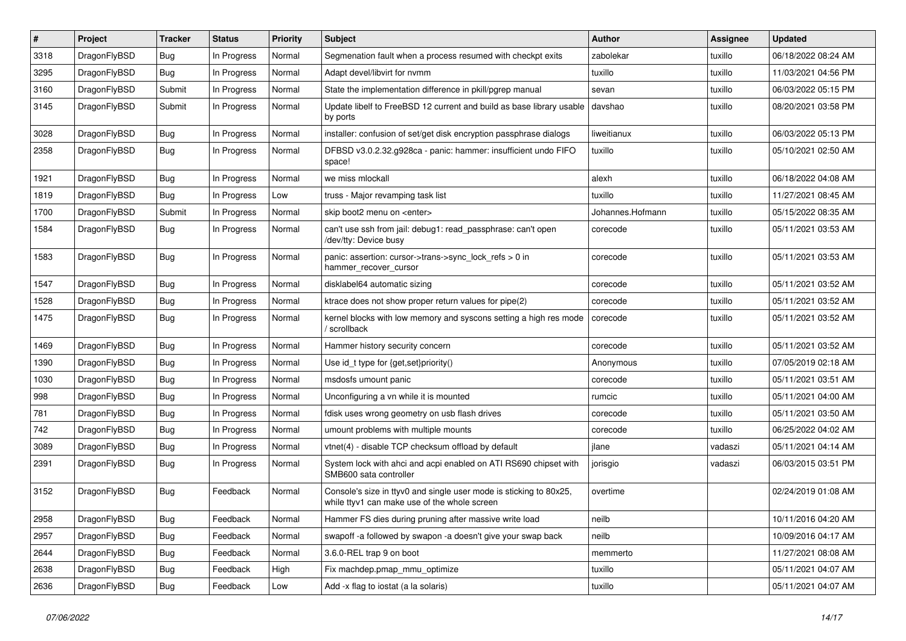| $\#$ | Project      | Tracker    | <b>Status</b> | <b>Priority</b> | <b>Subject</b>                                                                                                     | <b>Author</b>    | Assignee | <b>Updated</b>      |
|------|--------------|------------|---------------|-----------------|--------------------------------------------------------------------------------------------------------------------|------------------|----------|---------------------|
| 3318 | DragonFlyBSD | <b>Bug</b> | In Progress   | Normal          | Segmenation fault when a process resumed with checkpt exits                                                        | zabolekar        | tuxillo  | 06/18/2022 08:24 AM |
| 3295 | DragonFlyBSD | Bug        | In Progress   | Normal          | Adapt devel/libvirt for nvmm                                                                                       | tuxillo          | tuxillo  | 11/03/2021 04:56 PM |
| 3160 | DragonFlyBSD | Submit     | In Progress   | Normal          | State the implementation difference in pkill/pgrep manual                                                          | sevan            | tuxillo  | 06/03/2022 05:15 PM |
| 3145 | DragonFlyBSD | Submit     | In Progress   | Normal          | Update libelf to FreeBSD 12 current and build as base library usable<br>by ports                                   | davshao          | tuxillo  | 08/20/2021 03:58 PM |
| 3028 | DragonFlyBSD | <b>Bug</b> | In Progress   | Normal          | installer: confusion of set/get disk encryption passphrase dialogs                                                 | liweitianux      | tuxillo  | 06/03/2022 05:13 PM |
| 2358 | DragonFlyBSD | <b>Bug</b> | In Progress   | Normal          | DFBSD v3.0.2.32.g928ca - panic: hammer: insufficient undo FIFO<br>space!                                           | tuxillo          | tuxillo  | 05/10/2021 02:50 AM |
| 1921 | DragonFlyBSD | <b>Bug</b> | In Progress   | Normal          | we miss mlockall                                                                                                   | alexh            | tuxillo  | 06/18/2022 04:08 AM |
| 1819 | DragonFlyBSD | <b>Bug</b> | In Progress   | Low             | truss - Major revamping task list                                                                                  | tuxillo          | tuxillo  | 11/27/2021 08:45 AM |
| 1700 | DragonFlyBSD | Submit     | In Progress   | Normal          | skip boot2 menu on <enter></enter>                                                                                 | Johannes.Hofmann | tuxillo  | 05/15/2022 08:35 AM |
| 1584 | DragonFlyBSD | <b>Bug</b> | In Progress   | Normal          | can't use ssh from jail: debug1: read_passphrase: can't open<br>/dev/tty: Device busy                              | corecode         | tuxillo  | 05/11/2021 03:53 AM |
| 1583 | DragonFlyBSD | Bug        | In Progress   | Normal          | panic: assertion: cursor->trans->sync_lock_refs > 0 in<br>hammer_recover_cursor                                    | corecode         | tuxillo  | 05/11/2021 03:53 AM |
| 1547 | DragonFlyBSD | <b>Bug</b> | In Progress   | Normal          | disklabel64 automatic sizing                                                                                       | corecode         | tuxillo  | 05/11/2021 03:52 AM |
| 1528 | DragonFlyBSD | <b>Bug</b> | In Progress   | Normal          | ktrace does not show proper return values for pipe(2)                                                              | corecode         | tuxillo  | 05/11/2021 03:52 AM |
| 1475 | DragonFlyBSD | <b>Bug</b> | In Progress   | Normal          | kernel blocks with low memory and syscons setting a high res mode<br>/ scrollback                                  | corecode         | tuxillo  | 05/11/2021 03:52 AM |
| 1469 | DragonFlyBSD | <b>Bug</b> | In Progress   | Normal          | Hammer history security concern                                                                                    | corecode         | tuxillo  | 05/11/2021 03:52 AM |
| 1390 | DragonFlyBSD | <b>Bug</b> | In Progress   | Normal          | Use id_t type for {get,set}priority()                                                                              | Anonymous        | tuxillo  | 07/05/2019 02:18 AM |
| 1030 | DragonFlyBSD | <b>Bug</b> | In Progress   | Normal          | msdosfs umount panic                                                                                               | corecode         | tuxillo  | 05/11/2021 03:51 AM |
| 998  | DragonFlyBSD | <b>Bug</b> | In Progress   | Normal          | Unconfiguring a vn while it is mounted                                                                             | rumcic           | tuxillo  | 05/11/2021 04:00 AM |
| 781  | DragonFlyBSD | Bug        | In Progress   | Normal          | fdisk uses wrong geometry on usb flash drives                                                                      | corecode         | tuxillo  | 05/11/2021 03:50 AM |
| 742  | DragonFlyBSD | <b>Bug</b> | In Progress   | Normal          | umount problems with multiple mounts                                                                               | corecode         | tuxillo  | 06/25/2022 04:02 AM |
| 3089 | DragonFlyBSD | <b>Bug</b> | In Progress   | Normal          | vtnet(4) - disable TCP checksum offload by default                                                                 | jlane            | vadaszi  | 05/11/2021 04:14 AM |
| 2391 | DragonFlyBSD | <b>Bug</b> | In Progress   | Normal          | System lock with ahci and acpi enabled on ATI RS690 chipset with<br>SMB600 sata controller                         | jorisgio         | vadaszi  | 06/03/2015 03:51 PM |
| 3152 | DragonFlyBSD | Bug        | Feedback      | Normal          | Console's size in ttyv0 and single user mode is sticking to 80x25,<br>while ttyv1 can make use of the whole screen | overtime         |          | 02/24/2019 01:08 AM |
| 2958 | DragonFlyBSD | Bug        | Feedback      | Normal          | Hammer FS dies during pruning after massive write load                                                             | neilb            |          | 10/11/2016 04:20 AM |
| 2957 | DragonFlyBSD | <b>Bug</b> | Feedback      | Normal          | swapoff -a followed by swapon -a doesn't give your swap back                                                       | neilb            |          | 10/09/2016 04:17 AM |
| 2644 | DragonFlyBSD | <b>Bug</b> | Feedback      | Normal          | 3.6.0-REL trap 9 on boot                                                                                           | memmerto         |          | 11/27/2021 08:08 AM |
| 2638 | DragonFlyBSD | <b>Bug</b> | Feedback      | High            | Fix machdep.pmap_mmu_optimize                                                                                      | tuxillo          |          | 05/11/2021 04:07 AM |
| 2636 | DragonFlyBSD | <b>Bug</b> | Feedback      | Low             | Add -x flag to iostat (a la solaris)                                                                               | tuxillo          |          | 05/11/2021 04:07 AM |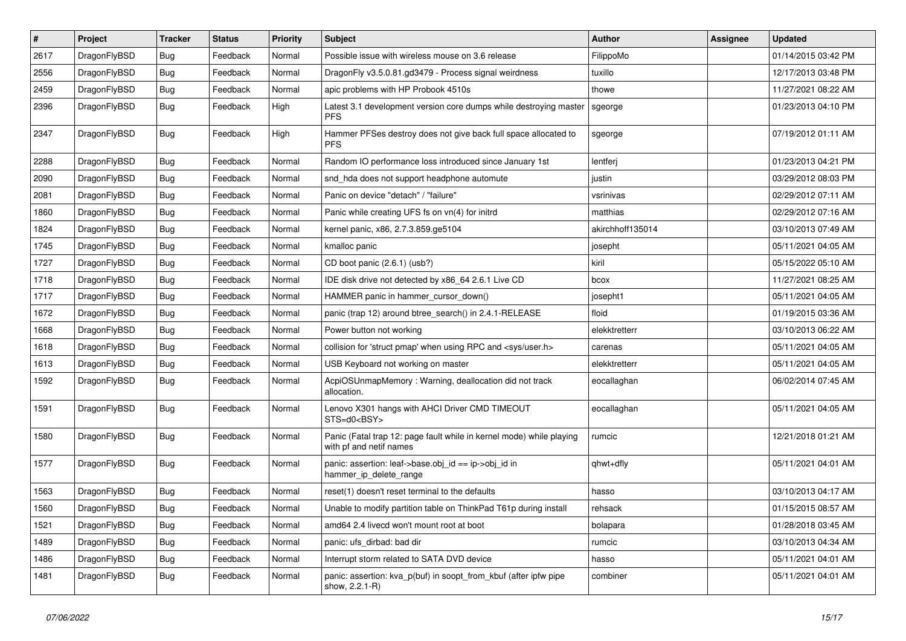| $\sharp$ | Project      | <b>Tracker</b> | <b>Status</b> | <b>Priority</b> | Subject                                                                                         | <b>Author</b>    | Assignee | <b>Updated</b>      |
|----------|--------------|----------------|---------------|-----------------|-------------------------------------------------------------------------------------------------|------------------|----------|---------------------|
| 2617     | DragonFlyBSD | <b>Bug</b>     | Feedback      | Normal          | Possible issue with wireless mouse on 3.6 release                                               | FilippoMo        |          | 01/14/2015 03:42 PM |
| 2556     | DragonFlyBSD | Bug            | Feedback      | Normal          | DragonFly v3.5.0.81.gd3479 - Process signal weirdness                                           | tuxillo          |          | 12/17/2013 03:48 PM |
| 2459     | DragonFlyBSD | <b>Bug</b>     | Feedback      | Normal          | apic problems with HP Probook 4510s                                                             | thowe            |          | 11/27/2021 08:22 AM |
| 2396     | DragonFlyBSD | <b>Bug</b>     | Feedback      | High            | Latest 3.1 development version core dumps while destroying master<br><b>PFS</b>                 | sgeorge          |          | 01/23/2013 04:10 PM |
| 2347     | DragonFlyBSD | Bug            | Feedback      | High            | Hammer PFSes destroy does not give back full space allocated to<br><b>PFS</b>                   | sgeorge          |          | 07/19/2012 01:11 AM |
| 2288     | DragonFlyBSD | <b>Bug</b>     | Feedback      | Normal          | Random IO performance loss introduced since January 1st                                         | lentferj         |          | 01/23/2013 04:21 PM |
| 2090     | DragonFlyBSD | <b>Bug</b>     | Feedback      | Normal          | snd_hda does not support headphone automute                                                     | justin           |          | 03/29/2012 08:03 PM |
| 2081     | DragonFlyBSD | Bug            | Feedback      | Normal          | Panic on device "detach" / "failure"                                                            | vsrinivas        |          | 02/29/2012 07:11 AM |
| 1860     | DragonFlyBSD | <b>Bug</b>     | Feedback      | Normal          | Panic while creating UFS fs on vn(4) for initrd                                                 | matthias         |          | 02/29/2012 07:16 AM |
| 1824     | DragonFlyBSD | <b>Bug</b>     | Feedback      | Normal          | kernel panic, x86, 2.7.3.859.ge5104                                                             | akirchhoff135014 |          | 03/10/2013 07:49 AM |
| 1745     | DragonFlyBSD | <b>Bug</b>     | Feedback      | Normal          | kmalloc panic                                                                                   | josepht          |          | 05/11/2021 04:05 AM |
| 1727     | DragonFlyBSD | <b>Bug</b>     | Feedback      | Normal          | CD boot panic (2.6.1) (usb?)                                                                    | kiril            |          | 05/15/2022 05:10 AM |
| 1718     | DragonFlyBSD | Bug            | Feedback      | Normal          | IDE disk drive not detected by x86_64 2.6.1 Live CD                                             | bcox             |          | 11/27/2021 08:25 AM |
| 1717     | DragonFlyBSD | <b>Bug</b>     | Feedback      | Normal          | HAMMER panic in hammer cursor down()                                                            | josepht1         |          | 05/11/2021 04:05 AM |
| 1672     | DragonFlyBSD | <b>Bug</b>     | Feedback      | Normal          | panic (trap 12) around btree_search() in 2.4.1-RELEASE                                          | floid            |          | 01/19/2015 03:36 AM |
| 1668     | DragonFlyBSD | <b>Bug</b>     | Feedback      | Normal          | Power button not working                                                                        | elekktretterr    |          | 03/10/2013 06:22 AM |
| 1618     | DragonFlyBSD | <b>Bug</b>     | Feedback      | Normal          | collision for 'struct pmap' when using RPC and <sys user.h=""></sys>                            | carenas          |          | 05/11/2021 04:05 AM |
| 1613     | DragonFlyBSD | <b>Bug</b>     | Feedback      | Normal          | USB Keyboard not working on master                                                              | elekktretterr    |          | 05/11/2021 04:05 AM |
| 1592     | DragonFlyBSD | <b>Bug</b>     | Feedback      | Normal          | AcpiOSUnmapMemory: Warning, deallocation did not track<br>allocation.                           | eocallaghan      |          | 06/02/2014 07:45 AM |
| 1591     | DragonFlyBSD | <b>Bug</b>     | Feedback      | Normal          | Lenovo X301 hangs with AHCI Driver CMD TIMEOUT<br>STS=d0 <bsy></bsy>                            | eocallaghan      |          | 05/11/2021 04:05 AM |
| 1580     | DragonFlyBSD | Bug            | Feedback      | Normal          | Panic (Fatal trap 12: page fault while in kernel mode) while playing<br>with pf and netif names | rumcic           |          | 12/21/2018 01:21 AM |
| 1577     | DragonFlyBSD | <b>Bug</b>     | Feedback      | Normal          | panic: assertion: leaf->base.obj_id == ip->obj_id in<br>hammer_ip_delete_range                  | qhwt+dfly        |          | 05/11/2021 04:01 AM |
| 1563     | DragonFlyBSD | <b>Bug</b>     | Feedback      | Normal          | reset(1) doesn't reset terminal to the defaults                                                 | hasso            |          | 03/10/2013 04:17 AM |
| 1560     | DragonFlyBSD | Bug            | Feedback      | Normal          | Unable to modify partition table on ThinkPad T61p during install                                | rehsack          |          | 01/15/2015 08:57 AM |
| 1521     | DragonFlyBSD | <b>Bug</b>     | Feedback      | Normal          | amd64 2.4 livecd won't mount root at boot                                                       | bolapara         |          | 01/28/2018 03:45 AM |
| 1489     | DragonFlyBSD | <b>Bug</b>     | Feedback      | Normal          | panic: ufs_dirbad: bad dir                                                                      | rumcic           |          | 03/10/2013 04:34 AM |
| 1486     | DragonFlyBSD | Bug            | Feedback      | Normal          | Interrupt storm related to SATA DVD device                                                      | hasso            |          | 05/11/2021 04:01 AM |
| 1481     | DragonFlyBSD | <b>Bug</b>     | Feedback      | Normal          | panic: assertion: kva_p(buf) in soopt_from_kbuf (after ipfw pipe<br>show, 2.2.1-R)              | combiner         |          | 05/11/2021 04:01 AM |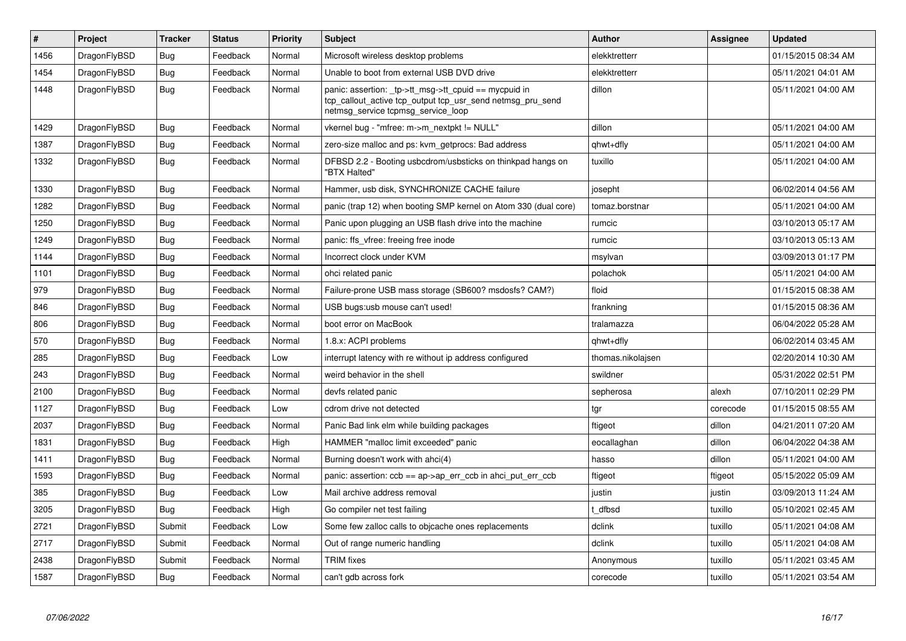| $\vert$ # | Project      | <b>Tracker</b> | <b>Status</b> | <b>Priority</b> | <b>Subject</b>                                                                                                                                            | <b>Author</b>     | Assignee | <b>Updated</b>      |
|-----------|--------------|----------------|---------------|-----------------|-----------------------------------------------------------------------------------------------------------------------------------------------------------|-------------------|----------|---------------------|
| 1456      | DragonFlyBSD | <b>Bug</b>     | Feedback      | Normal          | Microsoft wireless desktop problems                                                                                                                       | elekktretterr     |          | 01/15/2015 08:34 AM |
| 1454      | DragonFlyBSD | Bug            | Feedback      | Normal          | Unable to boot from external USB DVD drive                                                                                                                | elekktretterr     |          | 05/11/2021 04:01 AM |
| 1448      | DragonFlyBSD | <b>Bug</b>     | Feedback      | Normal          | panic: assertion: _tp->tt_msg->tt_cpuid == mycpuid in<br>tcp callout active tcp output tcp usr send netmsg pru send<br>netmsg_service tcpmsg_service_loop | dillon            |          | 05/11/2021 04:00 AM |
| 1429      | DragonFlyBSD | Bug            | Feedback      | Normal          | vkernel bug - "mfree: m->m nextpkt != NULL"                                                                                                               | dillon            |          | 05/11/2021 04:00 AM |
| 1387      | DragonFlyBSD | <b>Bug</b>     | Feedback      | Normal          | zero-size malloc and ps: kvm_getprocs: Bad address                                                                                                        | qhwt+dfly         |          | 05/11/2021 04:00 AM |
| 1332      | DragonFlyBSD | Bug            | Feedback      | Normal          | DFBSD 2.2 - Booting usbcdrom/usbsticks on thinkpad hangs on<br>"BTX Halted"                                                                               | tuxillo           |          | 05/11/2021 04:00 AM |
| 1330      | DragonFlyBSD | <b>Bug</b>     | Feedback      | Normal          | Hammer, usb disk, SYNCHRONIZE CACHE failure                                                                                                               | josepht           |          | 06/02/2014 04:56 AM |
| 1282      | DragonFlyBSD | <b>Bug</b>     | Feedback      | Normal          | panic (trap 12) when booting SMP kernel on Atom 330 (dual core)                                                                                           | tomaz.borstnar    |          | 05/11/2021 04:00 AM |
| 1250      | DragonFlyBSD | <b>Bug</b>     | Feedback      | Normal          | Panic upon plugging an USB flash drive into the machine                                                                                                   | rumcic            |          | 03/10/2013 05:17 AM |
| 1249      | DragonFlyBSD | Bug            | Feedback      | Normal          | panic: ffs vfree: freeing free inode                                                                                                                      | rumcic            |          | 03/10/2013 05:13 AM |
| 1144      | DragonFlyBSD | <b>Bug</b>     | Feedback      | Normal          | Incorrect clock under KVM                                                                                                                                 | msylvan           |          | 03/09/2013 01:17 PM |
| 1101      | DragonFlyBSD | Bug            | Feedback      | Normal          | ohci related panic                                                                                                                                        | polachok          |          | 05/11/2021 04:00 AM |
| 979       | DragonFlyBSD | <b>Bug</b>     | Feedback      | Normal          | Failure-prone USB mass storage (SB600? msdosfs? CAM?)                                                                                                     | floid             |          | 01/15/2015 08:38 AM |
| 846       | DragonFlyBSD | Bug            | Feedback      | Normal          | USB bugs:usb mouse can't used!                                                                                                                            | frankning         |          | 01/15/2015 08:36 AM |
| 806       | DragonFlyBSD | <b>Bug</b>     | Feedback      | Normal          | boot error on MacBook                                                                                                                                     | tralamazza        |          | 06/04/2022 05:28 AM |
| 570       | DragonFlyBSD | Bug            | Feedback      | Normal          | 1.8.x: ACPI problems                                                                                                                                      | qhwt+dfly         |          | 06/02/2014 03:45 AM |
| 285       | DragonFlyBSD | <b>Bug</b>     | Feedback      | Low             | interrupt latency with re without ip address configured                                                                                                   | thomas.nikolajsen |          | 02/20/2014 10:30 AM |
| 243       | DragonFlyBSD | Bug            | Feedback      | Normal          | weird behavior in the shell                                                                                                                               | swildner          |          | 05/31/2022 02:51 PM |
| 2100      | DragonFlyBSD | <b>Bug</b>     | Feedback      | Normal          | devfs related panic                                                                                                                                       | sepherosa         | alexh    | 07/10/2011 02:29 PM |
| 1127      | DragonFlyBSD | <b>Bug</b>     | Feedback      | Low             | cdrom drive not detected                                                                                                                                  | tgr               | corecode | 01/15/2015 08:55 AM |
| 2037      | DragonFlyBSD | <b>Bug</b>     | Feedback      | Normal          | Panic Bad link elm while building packages                                                                                                                | ftigeot           | dillon   | 04/21/2011 07:20 AM |
| 1831      | DragonFlyBSD | <b>Bug</b>     | Feedback      | High            | HAMMER "malloc limit exceeded" panic                                                                                                                      | eocallaghan       | dillon   | 06/04/2022 04:38 AM |
| 1411      | DragonFlyBSD | <b>Bug</b>     | Feedback      | Normal          | Burning doesn't work with ahci(4)                                                                                                                         | hasso             | dillon   | 05/11/2021 04:00 AM |
| 1593      | DragonFlyBSD | <b>Bug</b>     | Feedback      | Normal          | panic: assertion: $ccb == ap > ap$ err $ccb$ in ahci put err $ccb$                                                                                        | ftigeot           | ftigeot  | 05/15/2022 05:09 AM |
| 385       | DragonFlyBSD | Bug            | Feedback      | Low             | Mail archive address removal                                                                                                                              | justin            | justin   | 03/09/2013 11:24 AM |
| 3205      | DragonFlyBSD | <b>Bug</b>     | Feedback      | High            | Go compiler net test failing                                                                                                                              | t dfbsd           | tuxillo  | 05/10/2021 02:45 AM |
| 2721      | DragonFlyBSD | Submit         | Feedback      | Low             | Some few zalloc calls to objcache ones replacements                                                                                                       | dclink            | tuxillo  | 05/11/2021 04:08 AM |
| 2717      | DragonFlyBSD | Submit         | Feedback      | Normal          | Out of range numeric handling                                                                                                                             | dclink            | tuxillo  | 05/11/2021 04:08 AM |
| 2438      | DragonFlyBSD | Submit         | Feedback      | Normal          | <b>TRIM</b> fixes                                                                                                                                         | Anonymous         | tuxillo  | 05/11/2021 03:45 AM |
| 1587      | DragonFlyBSD | <b>Bug</b>     | Feedback      | Normal          | can't gdb across fork                                                                                                                                     | corecode          | tuxillo  | 05/11/2021 03:54 AM |